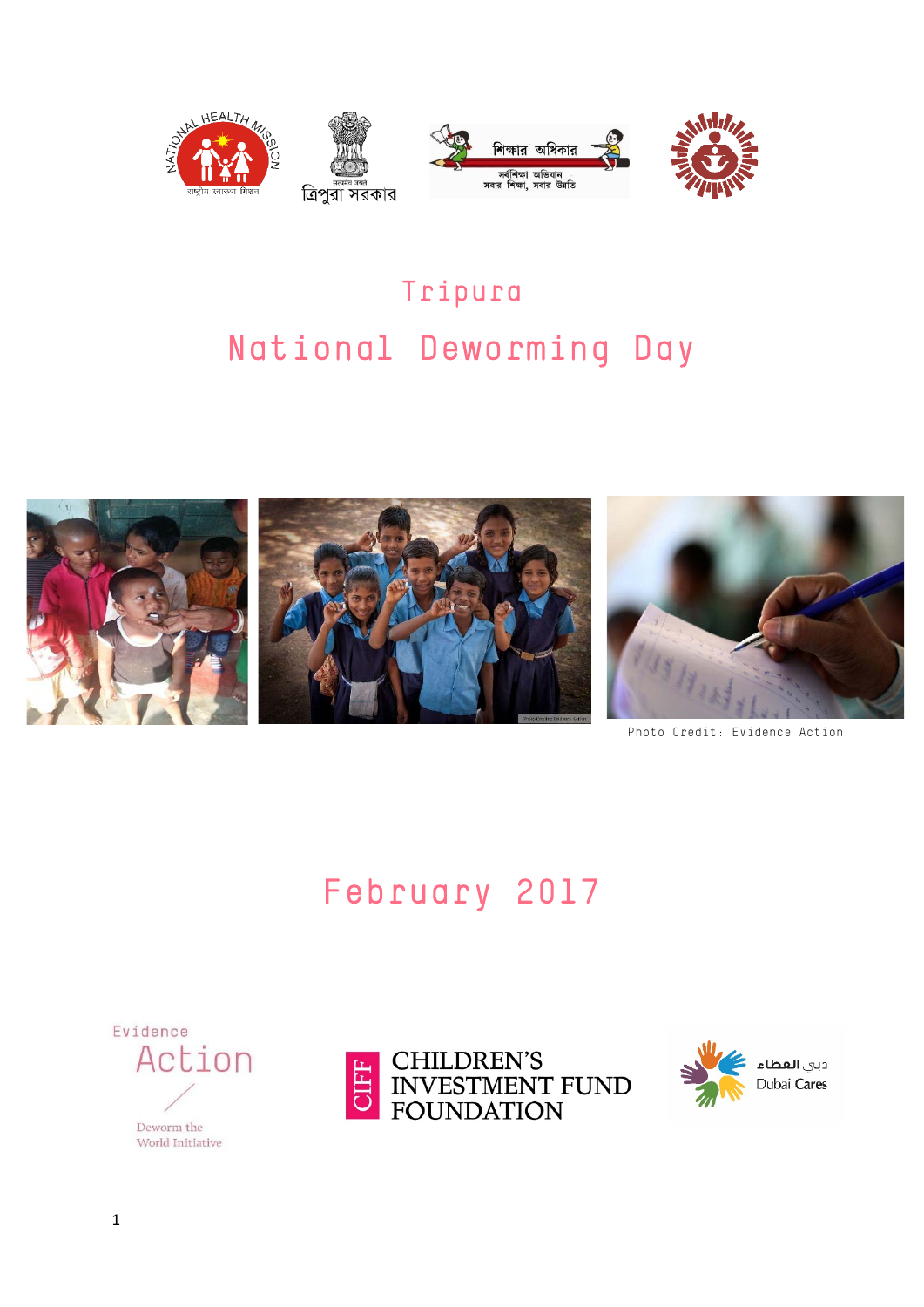

# Tripura National Deworming Day



Photo Credit: Evidence Action

# February 2017





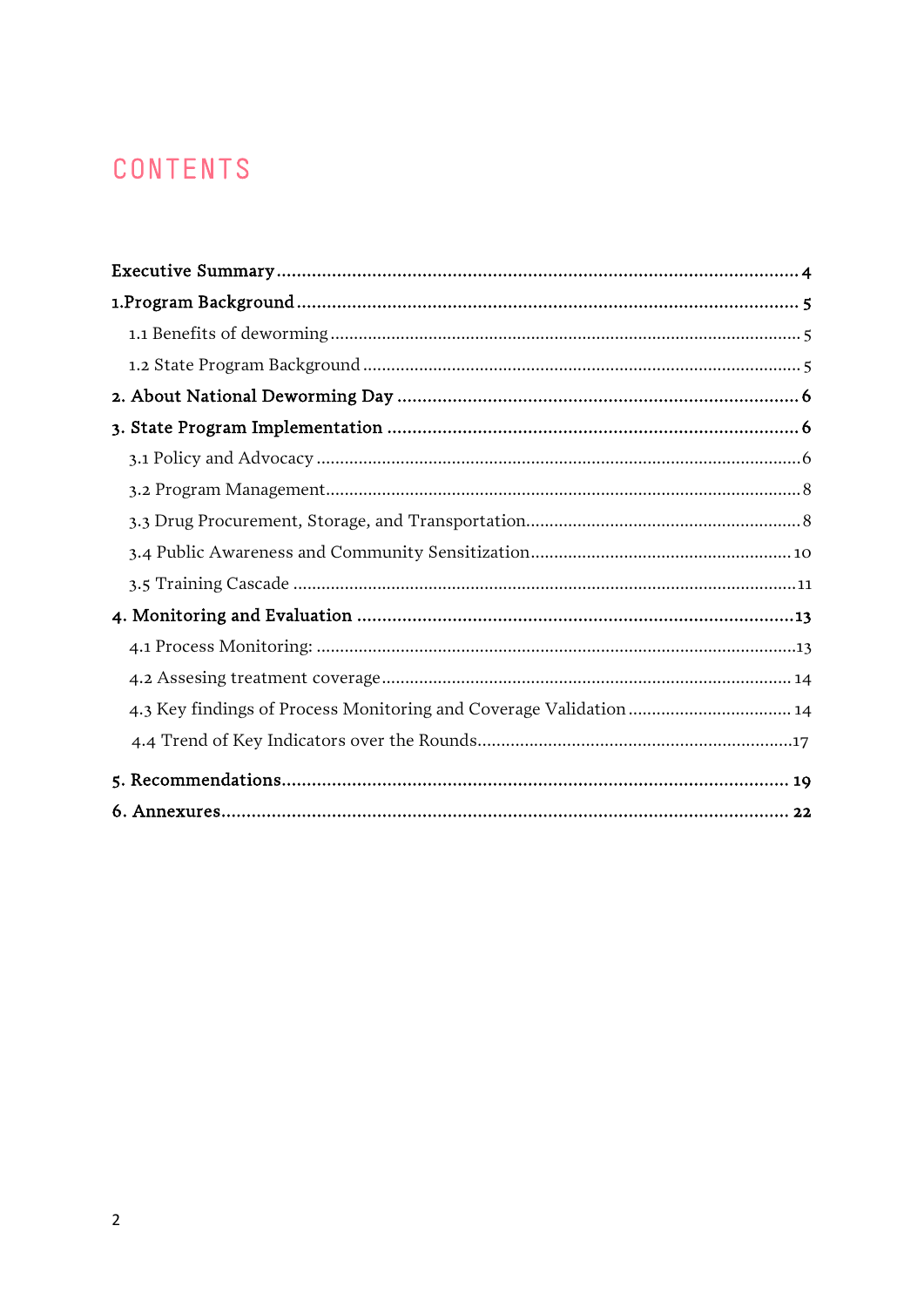# CONTENTS

| 4.3 Key findings of Process Monitoring and Coverage Validation  14 |
|--------------------------------------------------------------------|
|                                                                    |
|                                                                    |
|                                                                    |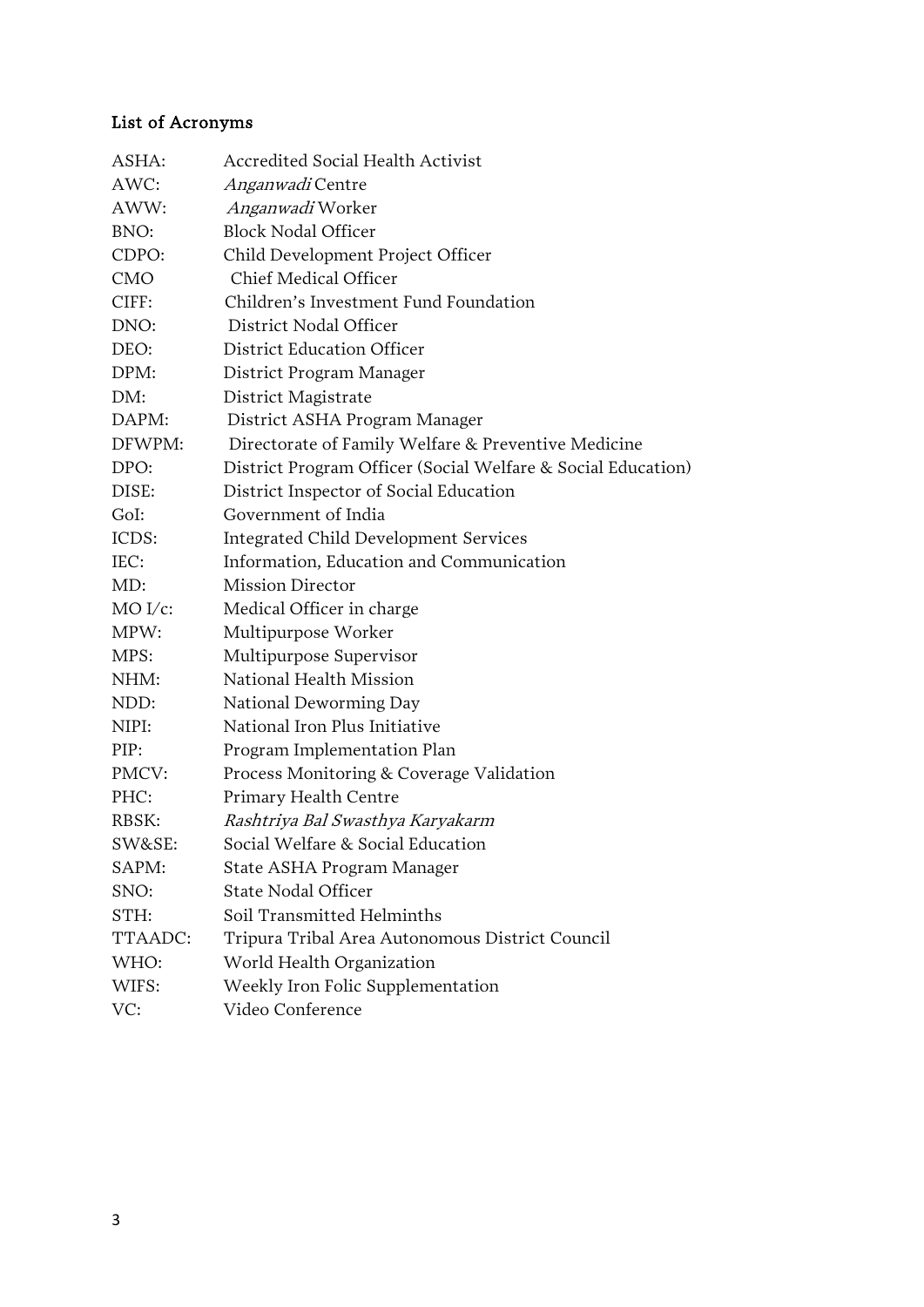### List of Acronyms

| ASHA:      | Accredited Social Health Activist                            |
|------------|--------------------------------------------------------------|
| AWC:       | <i>Anganwadi</i> Centre                                      |
| AWW:       | <i>Anganwadi</i> Worker                                      |
| BNO:       | <b>Block Nodal Officer</b>                                   |
| CDPO:      | Child Development Project Officer                            |
| <b>CMO</b> | Chief Medical Officer                                        |
| CIFF:      | Children's Investment Fund Foundation                        |
| DNO:       | District Nodal Officer                                       |
| DEO:       | District Education Officer                                   |
| DPM:       | District Program Manager                                     |
| DM:        | District Magistrate                                          |
| DAPM:      | District ASHA Program Manager                                |
| DFWPM:     | Directorate of Family Welfare & Preventive Medicine          |
| DPO:       | District Program Officer (Social Welfare & Social Education) |
| DISE:      | District Inspector of Social Education                       |
| GoI:       | Government of India                                          |
| ICDS:      | Integrated Child Development Services                        |
| IEC:       | Information, Education and Communication                     |
| MD:        | <b>Mission Director</b>                                      |
| $MO I/c$ : | Medical Officer in charge                                    |
| MPW:       | Multipurpose Worker                                          |
| MPS:       | Multipurpose Supervisor                                      |
| NHM:       | National Health Mission                                      |
| NDD:       | National Deworming Day                                       |
| NIPI:      | National Iron Plus Initiative                                |
| PIP:       | Program Implementation Plan                                  |
| PMCV:      | Process Monitoring & Coverage Validation                     |
| PHC:       | Primary Health Centre                                        |
| RBSK:      | Rashtriya Bal Swasthya Karyakarm                             |
| SW&SE:     | Social Welfare & Social Education                            |
| SAPM:      | State ASHA Program Manager                                   |
| SNO:       | <b>State Nodal Officer</b>                                   |
| STH:       | Soil Transmitted Helminths                                   |
| TTAADC:    | Tripura Tribal Area Autonomous District Council              |
| WHO:       | World Health Organization                                    |
| WIFS:      | Weekly Iron Folic Supplementation                            |
| VC:        | Video Conference                                             |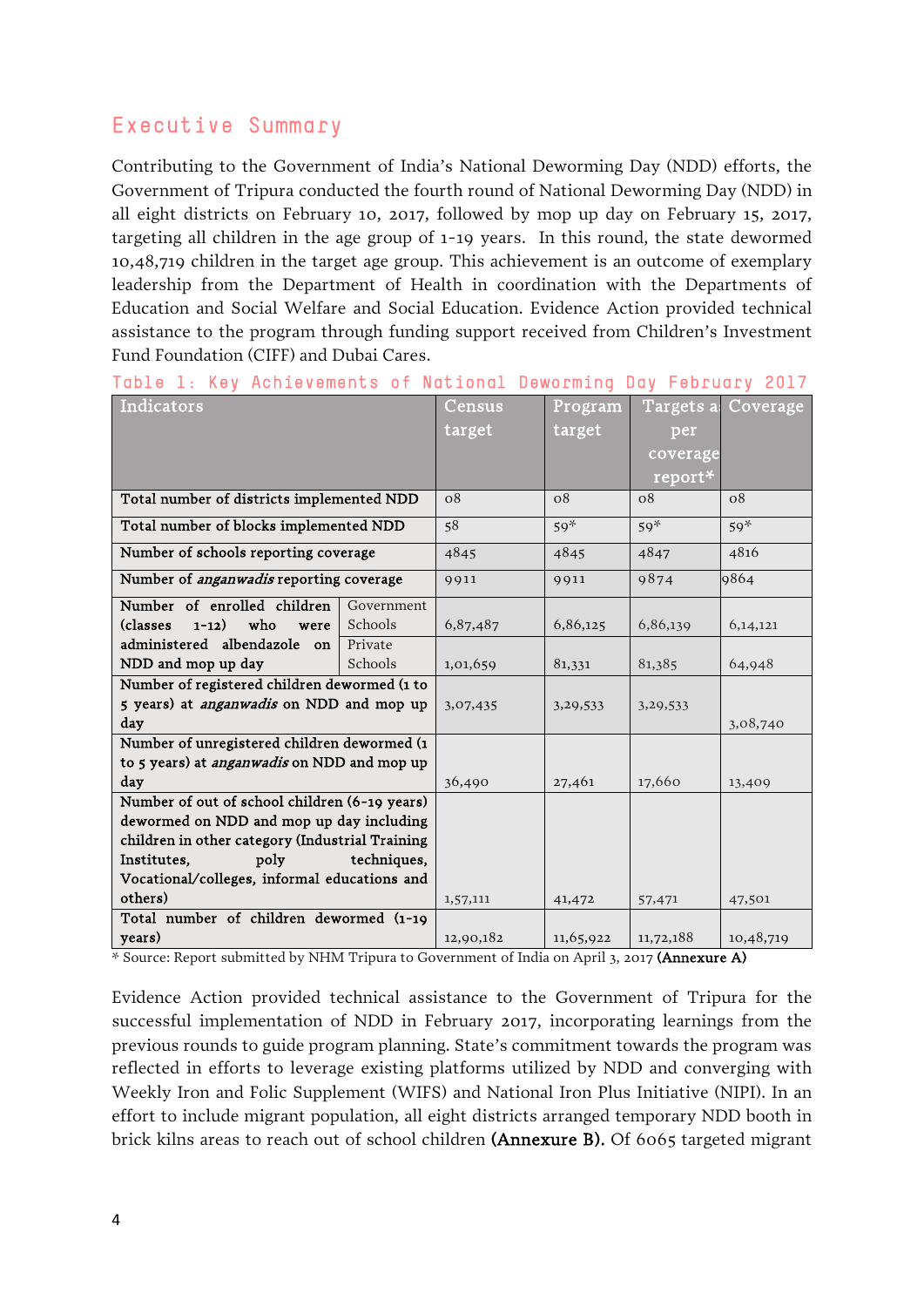## Executive Summary

Contributing to the Government of India's National Deworming Day (NDD) efforts, the Government of Tripura conducted the fourth round of National Deworming Day (NDD) in all eight districts on February 10, 2017, followed by mop up day on February 15, 2017, targeting all children in the age group of 1-19 years. In this round, the state dewormed 10,48,719 children in the target age group. This achievement is an outcome of exemplary leadership from the Department of Health in coordination with the Departments of Education and Social Welfare and Social Education. Evidence Action provided technical assistance to the program through funding support received from Children's Investment Fund Foundation (CIFF) and Dubai Cares.

|  | Table 1: Key Achievements of National Deworming Day February 2017 |  |  |  |  |
|--|-------------------------------------------------------------------|--|--|--|--|
|--|-------------------------------------------------------------------|--|--|--|--|

| Indicators                                         |            | Census    | Program    | Targets a  | Coverage  |
|----------------------------------------------------|------------|-----------|------------|------------|-----------|
|                                                    |            | target    | target     | per        |           |
|                                                    |            |           |            | coverage   |           |
|                                                    |            |           |            | report*    |           |
| Total number of districts implemented NDD          |            | 08        | 08         | $\Omega$   | 08        |
| Total number of blocks implemented NDD             |            | 58        | $59*$      | $59*$      | $59*$     |
| Number of schools reporting coverage               |            | 4845      | 4845       | 4847       | 4816      |
| Number of <i>anganwadis</i> reporting coverage     |            | 9911      | 9911       | 9874       | 9864      |
| Number of enrolled children                        | Government |           |            |            |           |
| $1-12)$<br>who<br>(classes)<br>were                | Schools    | 6,87,487  | 6,86,125   | 6,86,139   | 6,14,121  |
| administered albendazole on                        | Private    |           |            |            |           |
| NDD and mop up day                                 | Schools    | 1,01,659  | 81,331     | 81,385     | 64,948    |
| Number of registered children dewormed (1 to       |            |           |            |            |           |
| 5 years) at <i>anganwadis</i> on NDD and mop up    |            | 3,07,435  | 3, 29, 533 | 3, 29, 533 |           |
| day                                                |            |           |            |            | 3,08,740  |
| Number of unregistered children dewormed (1        |            |           |            |            |           |
| to 5 years) at <i>anganwadis</i> on NDD and mop up |            |           |            |            |           |
| day                                                |            | 36,490    | 27,461     | 17,660     | 13,409    |
| Number of out of school children (6-19 years)      |            |           |            |            |           |
| dewormed on NDD and mop up day including           |            |           |            |            |           |
| children in other category (Industrial Training    |            |           |            |            |           |
| techniques,<br>Institutes,<br>poly                 |            |           |            |            |           |
| Vocational/colleges, informal educations and       |            |           |            |            |           |
| others)                                            |            | 1,57,111  | 41,472     | 57,471     | 47,501    |
| Total number of children dewormed (1-19            |            |           |            |            |           |
| years)                                             |            | 12,90,182 | 11,65,922  | 11,72,188  | 10,48,719 |

\* Source: Report submitted by NHM Tripura to Government of India on April 3, 2017 (Annexure A)

Evidence Action provided technical assistance to the Government of Tripura for the successful implementation of NDD in February 2017, incorporating learnings from the previous rounds to guide program planning. State's commitment towards the program was reflected in efforts to leverage existing platforms utilized by NDD and converging with Weekly Iron and Folic Supplement (WIFS) and National Iron Plus Initiative (NIPI). In an effort to include migrant population, all eight districts arranged temporary NDD booth in brick kilns areas to reach out of school children (Annexure B). Of 6065 targeted migrant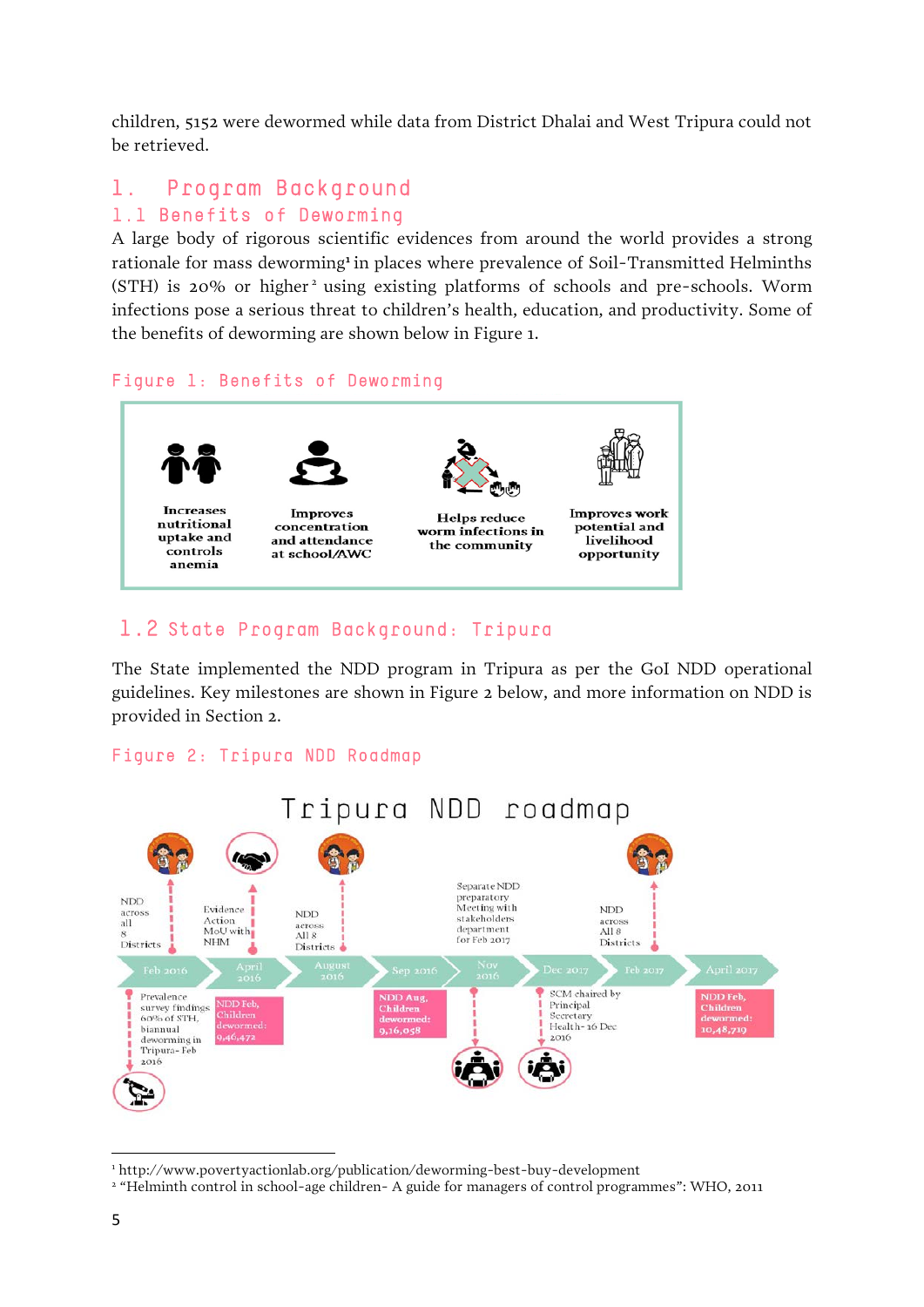children, 5152 were dewormed while data from District Dhalai and West Tripura could not be retrieved.

## 1. Program Background

#### 1.1 Benefits of Deworming

A large body of rigorous scientific evidences from around the world provides a strong rationale for mass deworming<sup>[1](#page-4-0)</sup> in places where prevalence of Soil-Transmitted Helminths  $(STH)$  is [2](#page-4-1)0% or higher<sup>2</sup> using existing platforms of schools and pre-schools. Worm infections pose a serious threat to children's health, education, and productivity. Some of the benefits of deworming are shown below in Figure 1.

#### Figure 1: Benefits of Deworming



#### 1.2 State Program Background: Tripura

The State implemented the NDD program in Tripura as per the GoI NDD operational guidelines. Key milestones are shown in Figure 2 below, and more information on NDD is provided in Section 2.

#### Figure 2: Tripura NDD Roadmap



 $\overline{a}$ <sup>1</sup> http://www.povertyactionlab.org/publication/deworming-best-buy-development

<span id="page-4-1"></span><span id="page-4-0"></span><sup>2</sup> "Helminth control in school-age children- A guide for managers of control programmes": WHO, 2011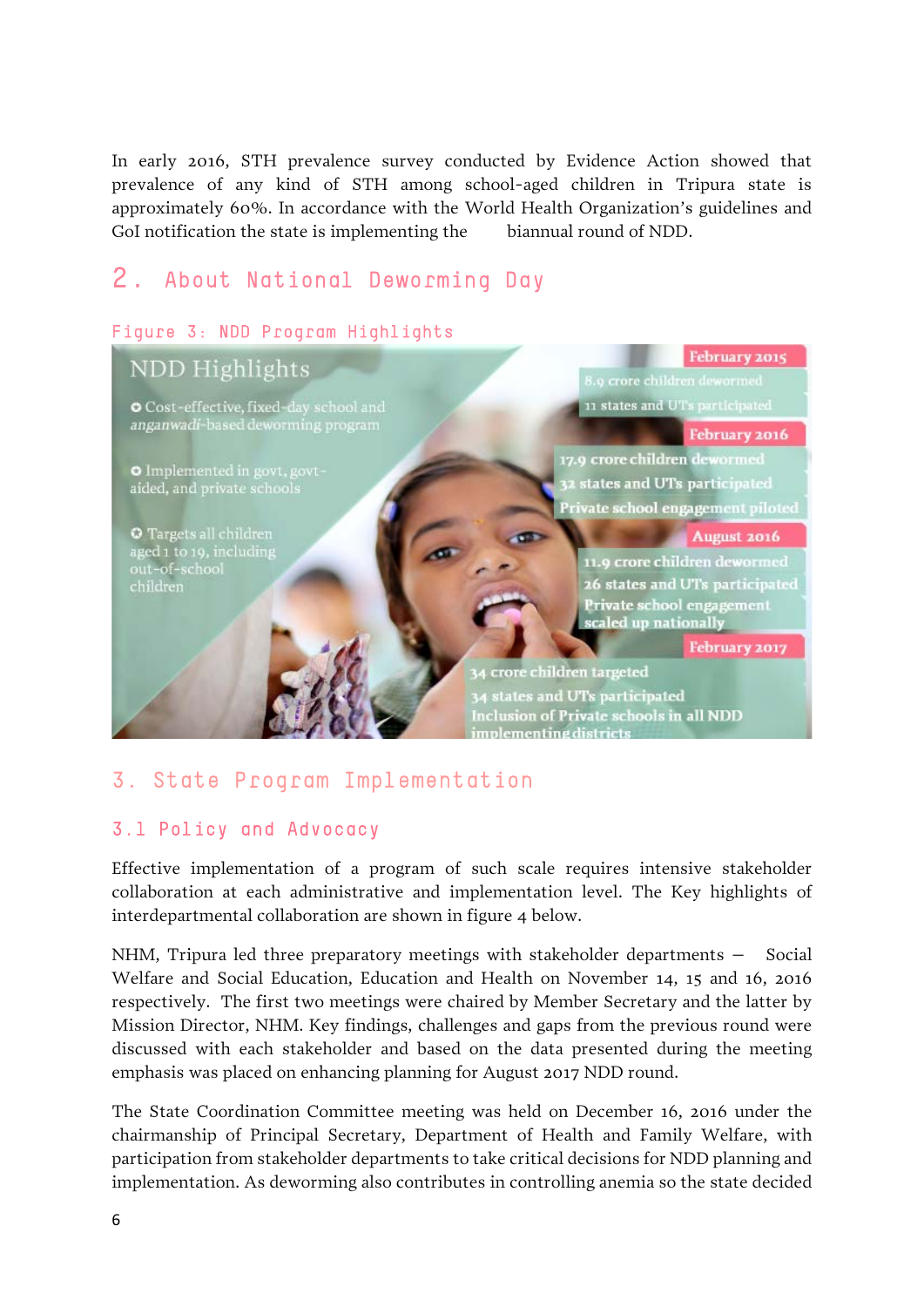In early 2016, STH prevalence survey conducted by Evidence Action showed that prevalence of any kind of STH among school-aged children in Tripura state is approximately 60%. In accordance with the World Health Organization's guidelines and GoI notification the state is implementing the biannual round of NDD.

# 2. About National Deworming Day

#### Figure 3: NDD Program Highlights

#### February 2015 NDD Highlights 8.9 crore children dewormed 11 states and UTs participated O Cost-effective, fixed-day school and anganwadi-based deworming program February 2016 17.9 crore children dewormed O Implemented in govt, govt-<br>aided, and private schools 2 states and UTs participated Private school engagement piloted O Targets all children August 2016 aged 1 to 19, including 11.9 crore children dewormed out-of-school 26 states and UTs participated children Private school engagement scaled up nationally February 2017 34 crore children targeted 4 states and UTs participated Inclusion of Private schools in all NDD mplementing districts

## 3. State Program Implementation

#### 3.1 Policy and Advocacy

Effective implementation of a program of such scale requires intensive stakeholder collaboration at each administrative and implementation level. The Key highlights of interdepartmental collaboration are shown in figure 4 below.

NHM, Tripura led three preparatory meetings with stakeholder departments – Social Welfare and Social Education, Education and Health on November 14, 15 and 16, 2016 respectively. The first two meetings were chaired by Member Secretary and the latter by Mission Director, NHM. Key findings, challenges and gaps from the previous round were discussed with each stakeholder and based on the data presented during the meeting emphasis was placed on enhancing planning for August 2017 NDD round.

The State Coordination Committee meeting was held on December 16, 2016 under the chairmanship of Principal Secretary, Department of Health and Family Welfare, with participation from stakeholder departments to take critical decisions for NDD planning and implementation. As deworming also contributes in controlling anemia so the state decided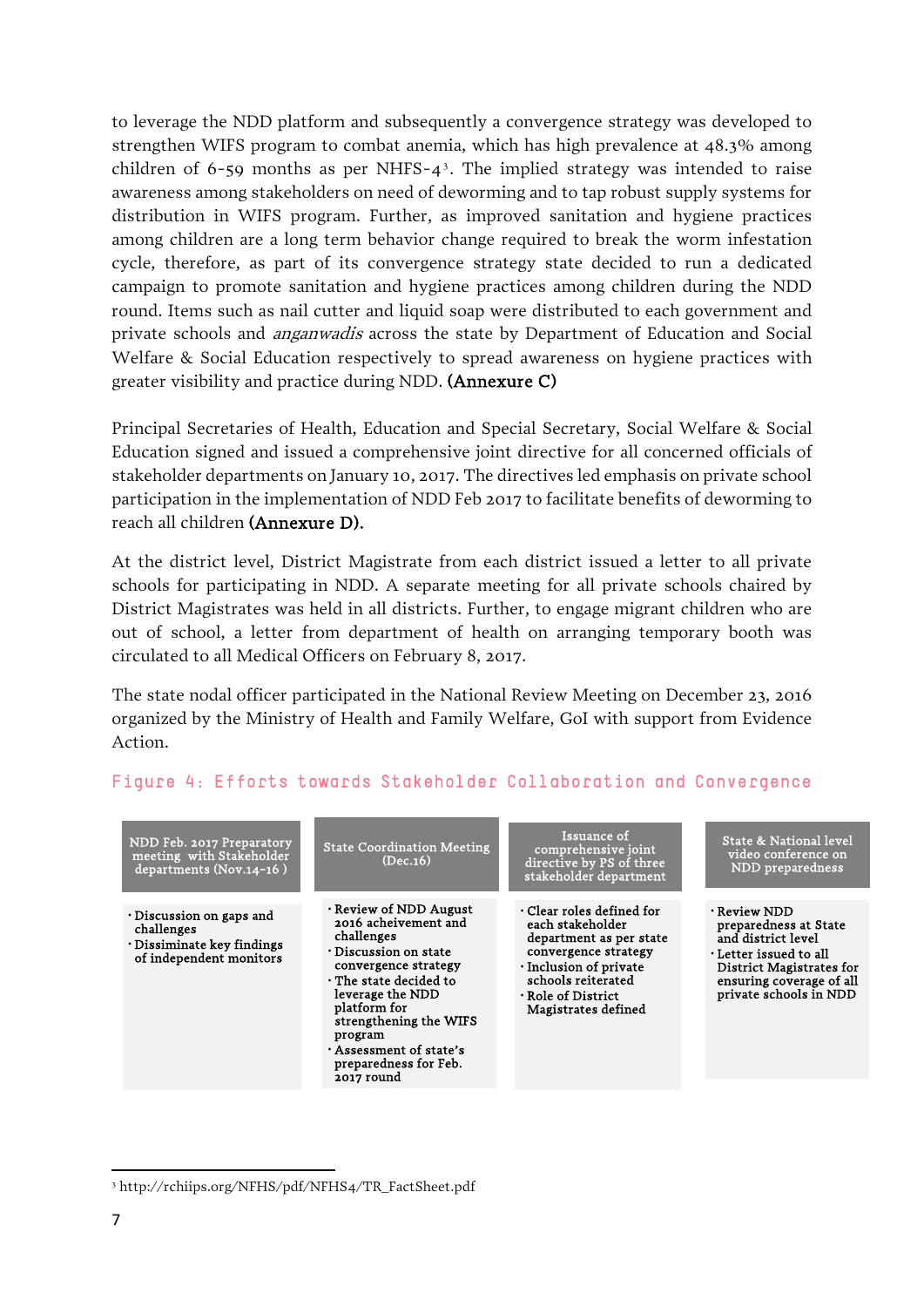to leverage the NDD platform and subsequently a convergence strategy was developed to strengthen WIFS program to combat anemia, which has high prevalence at 48.3% among children of 6-59 months as per NHFS- $4<sup>3</sup>$  $4<sup>3</sup>$  $4<sup>3</sup>$ . The implied strategy was intended to raise awareness among stakeholders on need of deworming and to tap robust supply systems for distribution in WIFS program. Further, as improved sanitation and hygiene practices among children are a long term behavior change required to break the worm infestation cycle, therefore, as part of its convergence strategy state decided to run a dedicated campaign to promote sanitation and hygiene practices among children during the NDD round. Items such as nail cutter and liquid soap were distributed to each government and private schools and anganwadis across the state by Department of Education and Social Welfare & Social Education respectively to spread awareness on hygiene practices with greater visibility and practice during NDD. (Annexure C)

Principal Secretaries of Health, Education and Special Secretary, Social Welfare & Social Education signed and issued a comprehensive joint directive for all concerned officials of stakeholder departments on January 10, 2017. The directives led emphasis on private school participation in the implementation of NDD Feb 2017 to facilitate benefits of deworming to reach all children (Annexure D).

At the district level, District Magistrate from each district issued a letter to all private schools for participating in NDD. A separate meeting for all private schools chaired by District Magistrates was held in all districts. Further, to engage migrant children who are out of school, a letter from department of health on arranging temporary booth was circulated to all Medical Officers on February 8, 2017.

The state nodal officer participated in the National Review Meeting on December 23, 2016 organized by the Ministry of Health and Family Welfare, GoI with support from Evidence Action.

| NDD Feb. 2017 Preparatory<br>meeting with Stakeholder<br>departments (Nov.14-16)                            | <b>State Coordination Meeting</b><br>(Dec.16)                                                                                                                                                                                                                                                      | Issuance of<br>comprehensive joint<br>directive by PS of three<br>stakeholder department                                                                                                                        | State & National level<br>video conference on<br>NDD preparedness                                                                                                                   |
|-------------------------------------------------------------------------------------------------------------|----------------------------------------------------------------------------------------------------------------------------------------------------------------------------------------------------------------------------------------------------------------------------------------------------|-----------------------------------------------------------------------------------------------------------------------------------------------------------------------------------------------------------------|-------------------------------------------------------------------------------------------------------------------------------------------------------------------------------------|
| $\cdot$ Discussion on gaps and<br>challenges<br>$\cdot$ Dissiminate key findings<br>of independent monitors | $\cdot$ Review of NDD August<br>2016 acheivement and<br>challenges<br>$\cdot$ Discussion on state<br>convergence strategy<br>$\cdot$ The state decided to<br>leverage the NDD<br>platform for<br>strengthening the WIFS<br>program<br>Assessment of state's<br>preparedness for Feb.<br>2017 round | $\cdot$ Clear roles defined for<br>each stakeholder<br>department as per state<br>convergence strategy<br>$\cdot$ Inclusion of private<br>schools reiterated<br>$\cdot$ Role of District<br>Magistrates defined | $\cdot$ Review NDD<br>preparedness at State<br>and district level<br>$\cdot$ Letter issued to all<br>District Magistrates for<br>ensuring coverage of all<br>private schools in NDD |

#### Figure 4: Efforts towards Stakeholder Collaboration and Convergence

<u>.</u>

<span id="page-6-0"></span><sup>3</sup> http://rchiips.org/NFHS/pdf/NFHS4/TR\_FactSheet.pdf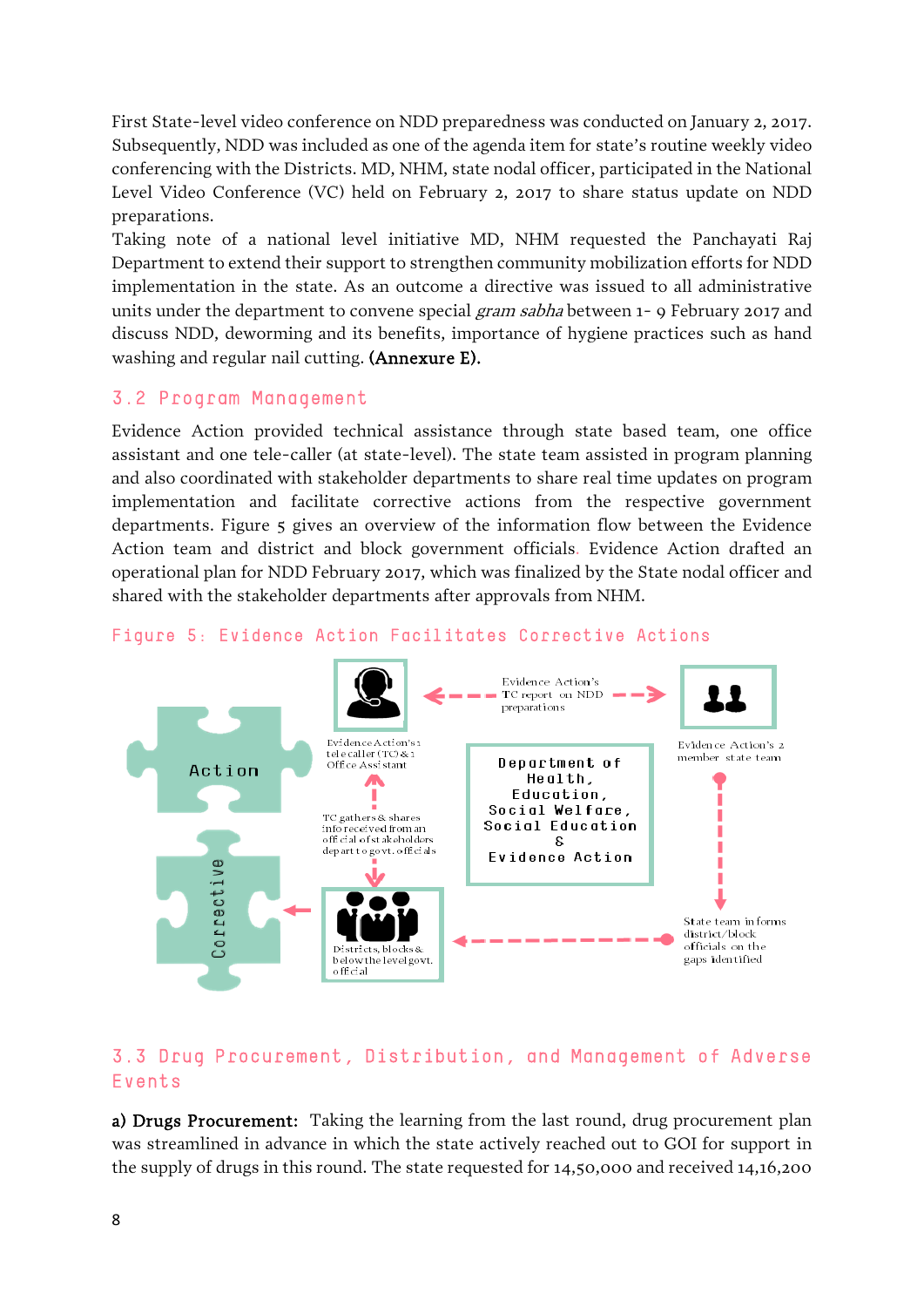First State-level video conference on NDD preparedness was conducted on January 2, 2017. Subsequently, NDD was included as one of the agenda item for state's routine weekly video conferencing with the Districts. MD, NHM, state nodal officer, participated in the National Level Video Conference (VC) held on February 2, 2017 to share status update on NDD preparations.

Taking note of a national level initiative MD, NHM requested the Panchayati Raj Department to extend their support to strengthen community mobilization efforts for NDD implementation in the state. As an outcome a directive was issued to all administrative units under the department to convene special *gram sabha* between 1- 9 February 2017 and discuss NDD, deworming and its benefits, importance of hygiene practices such as hand washing and regular nail cutting. (Annexure E).

#### 3.2 Program Management

Evidence Action provided technical assistance through state based team, one office assistant and one tele-caller (at state-level). The state team assisted in program planning and also coordinated with stakeholder departments to share real time updates on program implementation and facilitate corrective actions from the respective government departments. Figure 5 gives an overview of the information flow between the Evidence Action team and district and block government officials. Evidence Action drafted an operational plan for NDD February 2017, which was finalized by the State nodal officer and shared with the stakeholder departments after approvals from NHM.



#### Figure 5: Evidence Action Facilitates Corrective Actions

#### 3.3 Drug Procurement, Distribution, and Management of Adverse Events

a) Drugs Procurement: Taking the learning from the last round, drug procurement plan was streamlined in advance in which the state actively reached out to GOI for support in the supply of drugs in this round. The state requested for 14,50,000 and received 14,16,200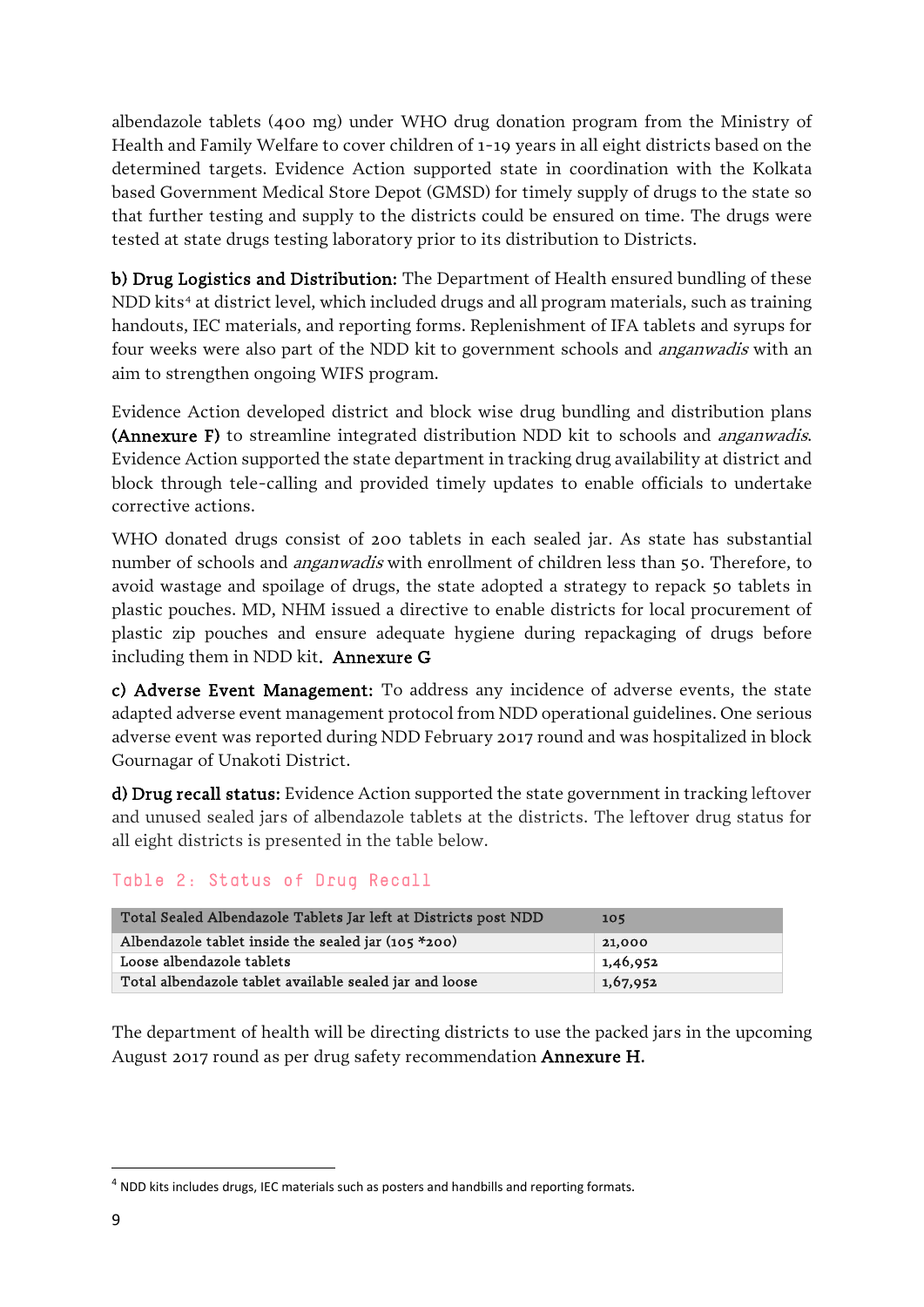albendazole tablets (400 mg) under WHO drug donation program from the Ministry of Health and Family Welfare to cover children of 1-19 years in all eight districts based on the determined targets. Evidence Action supported state in coordination with the Kolkata based Government Medical Store Depot (GMSD) for timely supply of drugs to the state so that further testing and supply to the districts could be ensured on time. The drugs were tested at state drugs testing laboratory prior to its distribution to Districts.

b) Drug Logistics and Distribution: The Department of Health ensured bundling of these NDD kits<sup>[4](#page-8-0)</sup> at district level, which included drugs and all program materials, such as training handouts, IEC materials, and reporting forms. Replenishment of IFA tablets and syrups for four weeks were also part of the NDD kit to government schools and anganwadis with an aim to strengthen ongoing WIFS program.

Evidence Action developed district and block wise drug bundling and distribution plans (Annexure F) to streamline integrated distribution NDD kit to schools and *anganwadis*. Evidence Action supported the state department in tracking drug availability at district and block through tele-calling and provided timely updates to enable officials to undertake corrective actions.

WHO donated drugs consist of 200 tablets in each sealed jar. As state has substantial number of schools and *anganwadis* with enrollment of children less than 50. Therefore, to avoid wastage and spoilage of drugs, the state adopted a strategy to repack 50 tablets in plastic pouches. MD, NHM issued a directive to enable districts for local procurement of plastic zip pouches and ensure adequate hygiene during repackaging of drugs before including them in NDD kit. Annexure G

c) Adverse Event Management: To address any incidence of adverse events, the state adapted adverse event management protocol from NDD operational guidelines. One serious adverse event was reported during NDD February 2017 round and was hospitalized in block Gournagar of Unakoti District.

d) Drug recall status: Evidence Action supported the state government in tracking leftover and unused sealed jars of albendazole tablets at the districts. The leftover drug status for all eight districts is presented in the table below.

#### Table 2: Status of Drug Recall

| Total Sealed Albendazole Tablets Jar left at Districts post NDD | 105      |
|-----------------------------------------------------------------|----------|
| Albendazole tablet inside the sealed jar $(105 * 200)$          | 21,000   |
| Loose albendazole tablets                                       | 1,46,952 |
| Total albendazole tablet available sealed jar and loose         | 1,67,952 |

The department of health will be directing districts to use the packed jars in the upcoming August 2017 round as per drug safety recommendation Annexure H.

<span id="page-8-0"></span><sup>&</sup>lt;sup>4</sup> NDD kits includes drugs, IEC materials such as posters and handbills and reporting formats.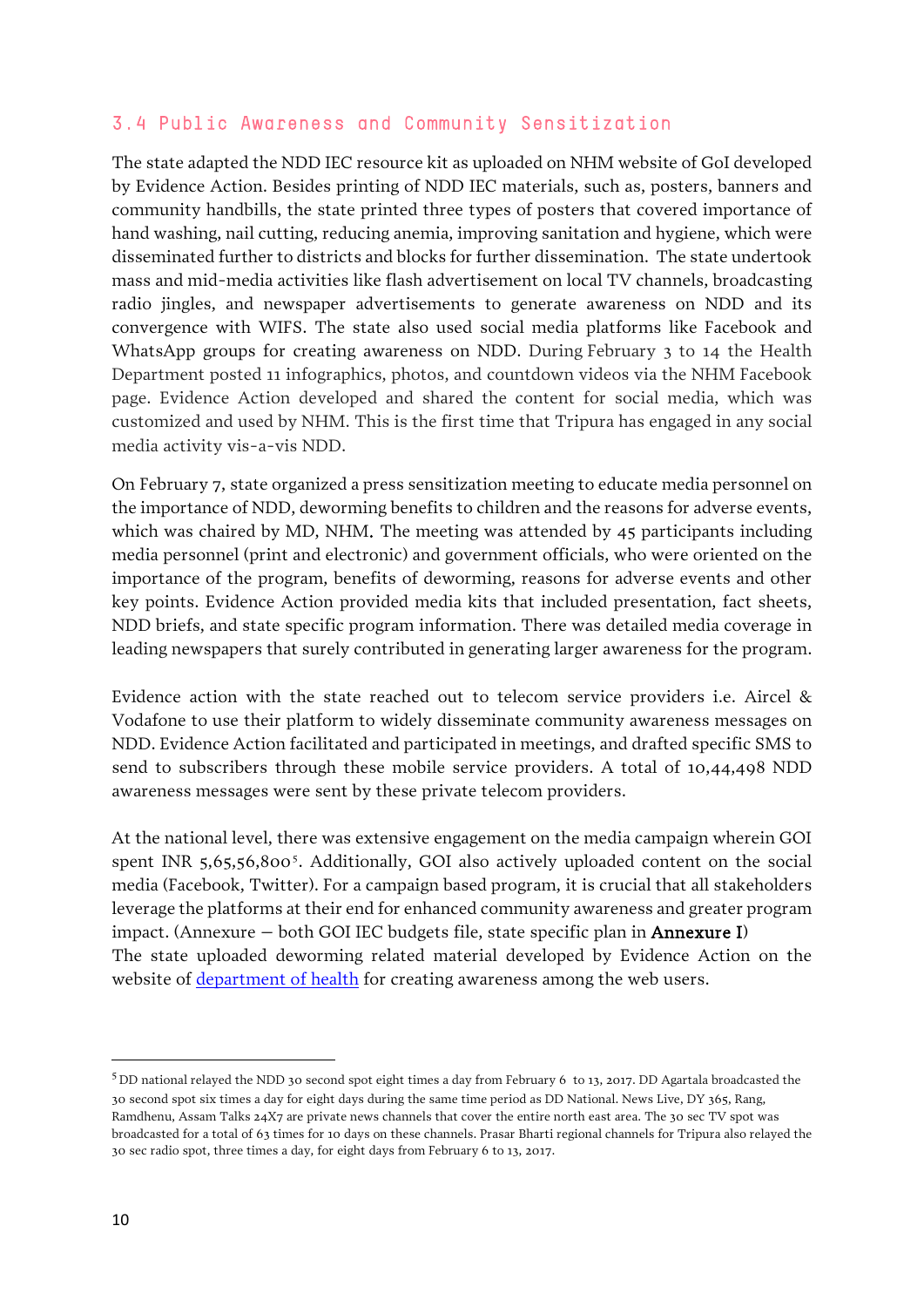#### 3.4 Public Awareness and Community Sensitization

The state adapted the NDD IEC resource kit as uploaded on NHM website of GoI developed by Evidence Action. Besides printing of NDD IEC materials, such as, posters, banners and community handbills, the state printed three types of posters that covered importance of hand washing, nail cutting, reducing anemia, improving sanitation and hygiene, which were disseminated further to districts and blocks for further dissemination. The state undertook mass and mid-media activities like flash advertisement on local TV channels, broadcasting radio jingles, and newspaper advertisements to generate awareness on NDD and its convergence with WIFS. The state also used social media platforms like Facebook and WhatsApp groups for creating awareness on NDD. During February 3 to 14 the Health Department posted 11 infographics, photos, and countdown videos via the NHM Facebook page. Evidence Action developed and shared the content for social media, which was customized and used by NHM. This is the first time that Tripura has engaged in any social media activity vis-a-vis NDD.

On February 7, state organized a press sensitization meeting to educate media personnel on the importance of NDD, deworming benefits to children and the reasons for adverse events, which was chaired by MD, NHM. The meeting was attended by 45 participants including media personnel (print and electronic) and government officials, who were oriented on the importance of the program, benefits of deworming, reasons for adverse events and other key points. Evidence Action provided media kits that included presentation, fact sheets, NDD briefs, and state specific program information. There was detailed media coverage in leading newspapers that surely contributed in generating larger awareness for the program.

Evidence action with the state reached out to telecom service providers i.e. Aircel & Vodafone to use their platform to widely disseminate community awareness messages on NDD. Evidence Action facilitated and participated in meetings, and drafted specific SMS to send to subscribers through these mobile service providers. A total of 10,44,498 NDD awareness messages were sent by these private telecom providers.

At the national level, there was extensive engagement on the media campaign wherein GOI spent INR [5](#page-9-0),65,56,800<sup>5</sup>. Additionally, GOI also actively uploaded content on the social media (Facebook, Twitter). For a campaign based program, it is crucial that all stakeholders leverage the platforms at their end for enhanced community awareness and greater program impact. (Annexure – both GOI IEC budgets file, state specific plan in Annexure I) The state uploaded deworming related material developed by Evidence Action on the website of [department of health](http://health.tripura.gov.in/de-worming-day) for creating awareness among the web users.

 $\overline{a}$ 

<span id="page-9-0"></span><sup>5</sup> DD national relayed the NDD 30 second spot eight times a day from February 6 to 13, 2017. DD Agartala broadcasted the 30 second spot six times a day for eight days during the same time period as DD National. News Live, DY 365, Rang, Ramdhenu, Assam Talks 24X7 are private news channels that cover the entire north east area. The 30 sec TV spot was broadcasted for a total of 63 times for 10 days on these channels. Prasar Bharti regional channels for Tripura also relayed the 30 sec radio spot, three times a day, for eight days from February 6 to 13, 2017.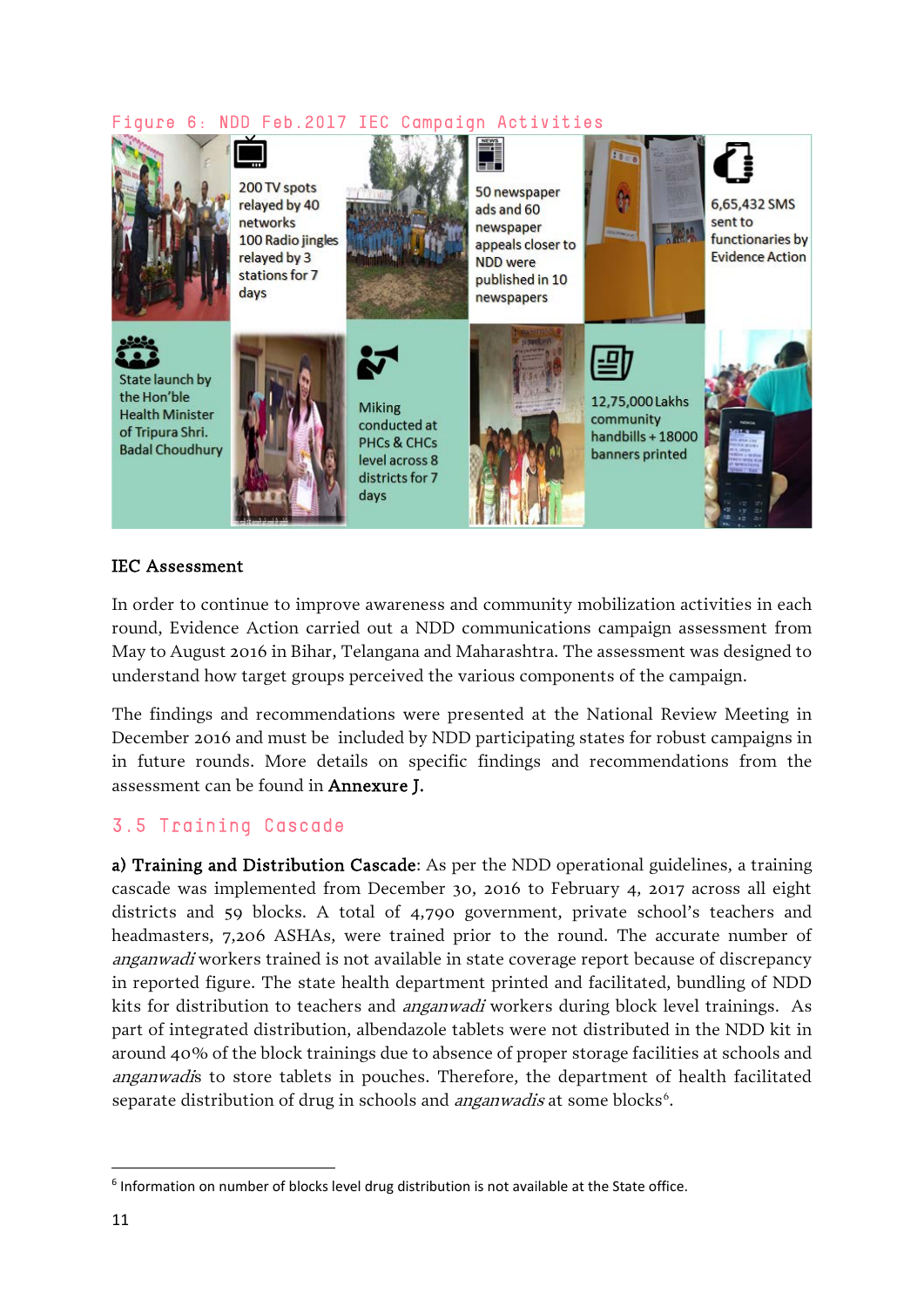#### Figure 6: NDD Feb.2017 IEC Campaign Activities



#### IEC Assessment

In order to continue to improve awareness and community mobilization activities in each round, Evidence Action carried out a NDD communications campaign assessment from May to August 2016 in Bihar, Telangana and Maharashtra. The assessment was designed to understand how target groups perceived the various components of the campaign.

The findings and recommendations were presented at the National Review Meeting in December 2016 and must be included by NDD participating states for robust campaigns in in future rounds. More details on specific findings and recommendations from the assessment can be found in Annexure J.

#### 3.5 Training Cascade

a) Training and Distribution Cascade: As per the NDD operational guidelines, a training cascade was implemented from December 30, 2016 to February 4, 2017 across all eight districts and 59 blocks. A total of 4,790 government, private school's teachers and headmasters, 7,206 ASHAs, were trained prior to the round. The accurate number of anganwadi workers trained is not available in state coverage report because of discrepancy in reported figure. The state health department printed and facilitated, bundling of NDD kits for distribution to teachers and *anganwadi* workers during block level trainings. As part of integrated distribution, albendazole tablets were not distributed in the NDD kit in around 40% of the block trainings due to absence of proper storage facilities at schools and anganwadis to store tablets in pouches. Therefore, the department of health facilitated separate distribution of drug in schools and *anganwadis* at some blocks<sup>6</sup>.

<span id="page-10-0"></span> <sup>6</sup> Information on number of blocks level drug distribution is not available at the State office.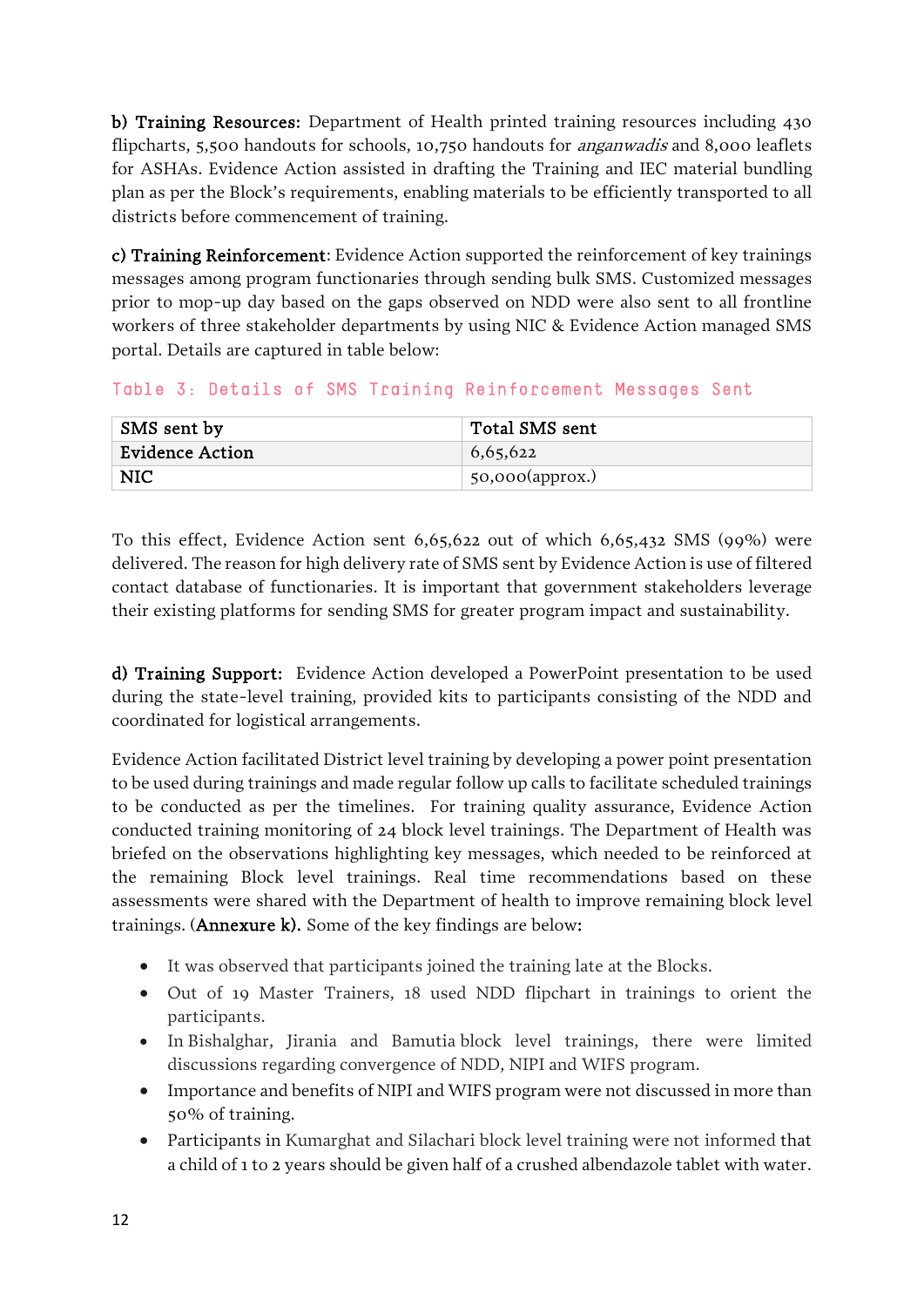b) Training Resources: Department of Health printed training resources including 430 flipcharts, 5,500 handouts for schools, 10,750 handouts for *anganwadis* and 8,000 leaflets for ASHAs. Evidence Action assisted in drafting the Training and IEC material bundling plan as per the Block's requirements, enabling materials to be efficiently transported to all districts before commencement of training.

c) Training Reinforcement: Evidence Action supported the reinforcement of key trainings messages among program functionaries through sending bulk SMS. Customized messages prior to mop-up day based on the gaps observed on NDD were also sent to all frontline workers of three stakeholder departments by using NIC & Evidence Action managed SMS portal. Details are captured in table below:

Table 3: Details of SMS Training Reinforcement Messages Sent

| SMS sent by     | Total SMS sent          |
|-----------------|-------------------------|
| Evidence Action | 6,65,622                |
| <b>NIC</b>      | $\vert$ 50,000(approx.) |

To this effect, Evidence Action sent 6,65,622 out of which 6,65,432 SMS (99%) were delivered. The reason for high delivery rate of SMS sent by Evidence Action is use of filtered contact database of functionaries. It is important that government stakeholders leverage their existing platforms for sending SMS for greater program impact and sustainability.

d) Training Support: Evidence Action developed a PowerPoint presentation to be used during the state-level training, provided kits to participants consisting of the NDD and coordinated for logistical arrangements.

Evidence Action facilitated District level training by developing a power point presentation to be used during trainings and made regular follow up calls to facilitate scheduled trainings to be conducted as per the timelines. For training quality assurance, Evidence Action conducted training monitoring of 24 block level trainings. The Department of Health was briefed on the observations highlighting key messages, which needed to be reinforced at the remaining Block level trainings. Real time recommendations based on these assessments were shared with the Department of health to improve remaining block level trainings. (Annexure k). Some of the key findings are below:

- It was observed that participants joined the training late at the Blocks.
- Out of 19 Master Trainers, 18 used NDD flipchart in trainings to orient the participants.
- In Bishalghar, Jirania and Bamutia block level trainings, there were limited discussions regarding convergence of NDD, NIPI and WIFS program.
- Importance and benefits of NIPI and WIFS program were not discussed in more than 50% of training.
- Participants in Kumarghat and Silachari block level training were not informed that a child of 1 to 2 years should be given half of a crushed albendazole tablet with water.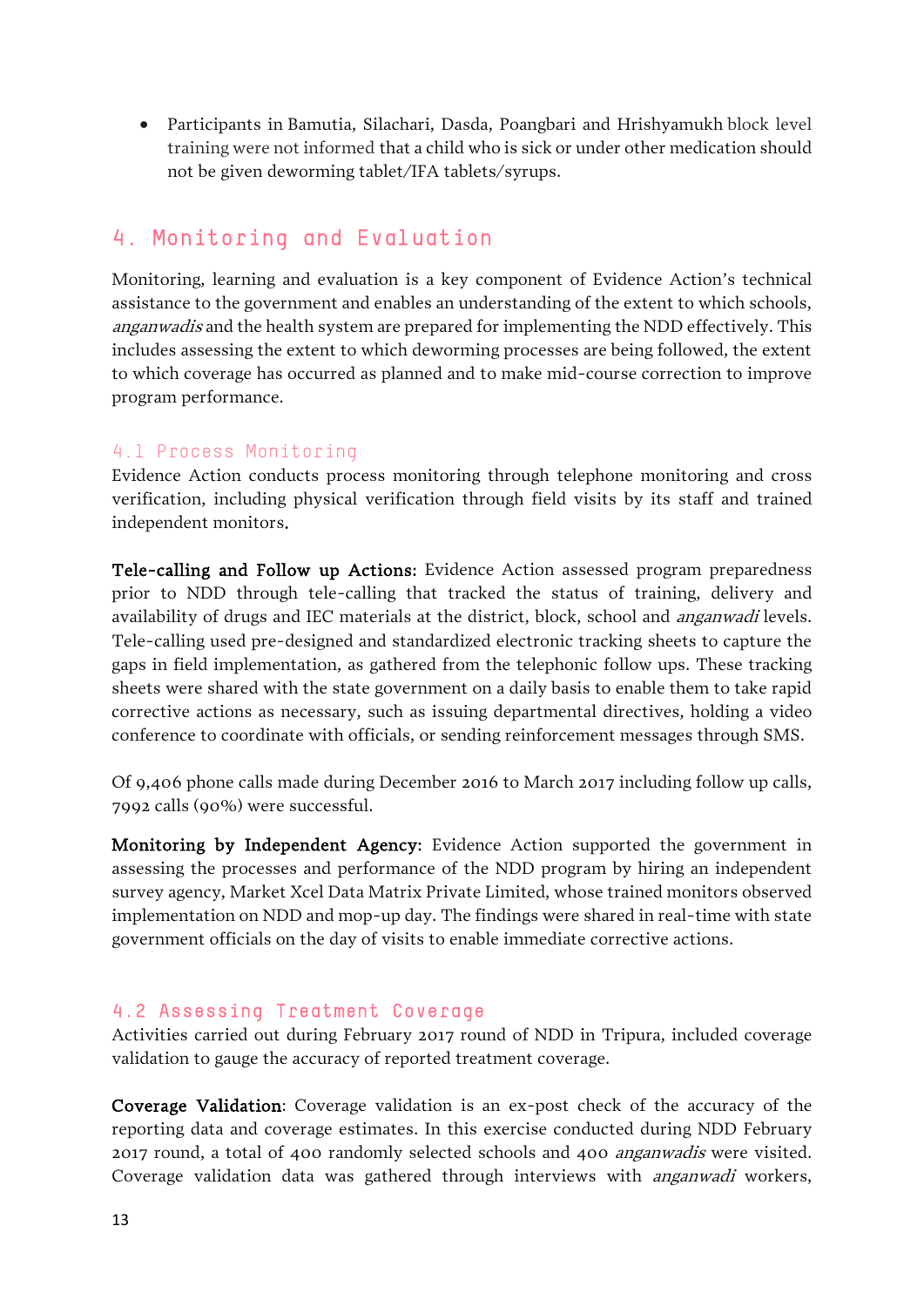• Participants in Bamutia, Silachari, Dasda, Poangbari and Hrishyamukh block level training were not informed that a child who is sick or under other medication should not be given deworming tablet/IFA tablets/syrups.

## 4. Monitoring and Evaluation

Monitoring, learning and evaluation is a key component of Evidence Action's technical assistance to the government and enables an understanding of the extent to which schools, anganwadis and the health system are prepared for implementing the NDD effectively. This includes assessing the extent to which deworming processes are being followed, the extent to which coverage has occurred as planned and to make mid-course correction to improve program performance.

#### 4.1 Process Monitoring

Evidence Action conducts process monitoring through telephone monitoring and cross verification, including physical verification through field visits by its staff and trained independent monitors.

Tele-calling and Follow up Actions: Evidence Action assessed program preparedness prior to NDD through tele-calling that tracked the status of training, delivery and availability of drugs and IEC materials at the district, block, school and *anganwadi* levels. Tele-calling used pre-designed and standardized electronic tracking sheets to capture the gaps in field implementation, as gathered from the telephonic follow ups. These tracking sheets were shared with the state government on a daily basis to enable them to take rapid corrective actions as necessary, such as issuing departmental directives, holding a video conference to coordinate with officials, or sending reinforcement messages through SMS.

Of 9,406 phone calls made during December 2016 to March 2017 including follow up calls, 7992 calls (90%) were successful.

Monitoring by Independent Agency: Evidence Action supported the government in assessing the processes and performance of the NDD program by hiring an independent survey agency, Market Xcel Data Matrix Private Limited, whose trained monitors observed implementation on NDD and mop-up day. The findings were shared in real-time with state government officials on the day of visits to enable immediate corrective actions.

#### 4.2 Assessing Treatment Coverage

Activities carried out during February 2017 round of NDD in Tripura, included coverage validation to gauge the accuracy of reported treatment coverage.

Coverage Validation: Coverage validation is an ex-post check of the accuracy of the reporting data and coverage estimates. In this exercise conducted during NDD February 2017 round, a total of 400 randomly selected schools and 400 anganwadis were visited. Coverage validation data was gathered through interviews with *anganwadi* workers,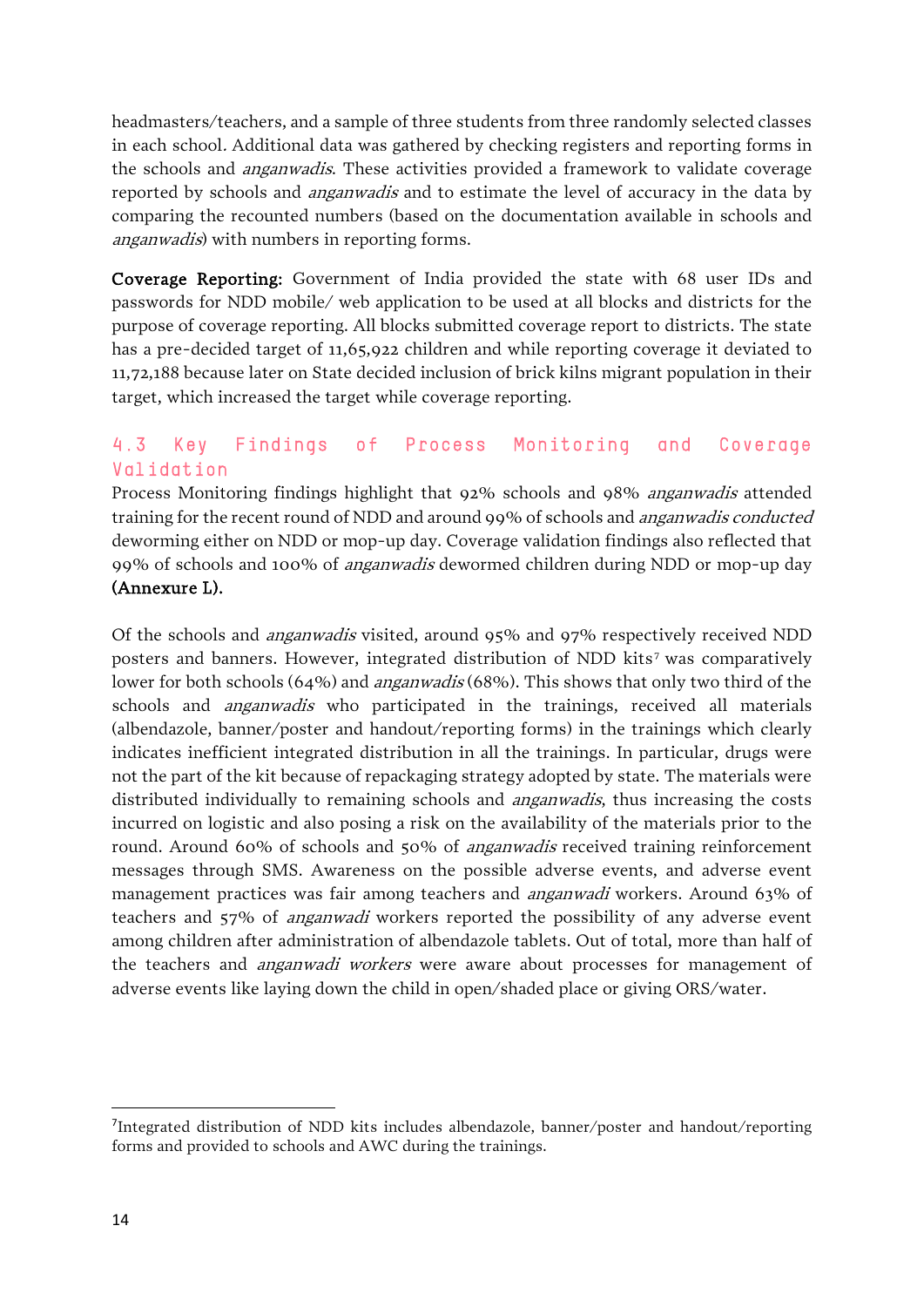headmasters/teachers, and a sample of three students from three randomly selected classes in each school. Additional data was gathered by checking registers and reporting forms in the schools and anganwadis. These activities provided a framework to validate coverage reported by schools and *anganwadis* and to estimate the level of accuracy in the data by comparing the recounted numbers (based on the documentation available in schools and anganwadis) with numbers in reporting forms.

Coverage Reporting: Government of India provided the state with 68 user IDs and passwords for NDD mobile/ web application to be used at all blocks and districts for the purpose of coverage reporting. All blocks submitted coverage report to districts. The state has a pre-decided target of 11,65,922 children and while reporting coverage it deviated to 11,72,188 because later on State decided inclusion of brick kilns migrant population in their target, which increased the target while coverage reporting.

#### 4.3 Key Findings of Process Monitoring and Coverage Validation

Process Monitoring findings highlight that 92% schools and 98% anganwadis attended training for the recent round of NDD and around 99% of schools and anganwadis conducted deworming either on NDD or mop-up day. Coverage validation findings also reflected that 99% of schools and 100% of anganwadis dewormed children during NDD or mop-up day (Annexure L).

Of the schools and anganwadis visited, around 95% and 97% respectively received NDD posters and banners. However, integrated distribution of NDD kits<sup>[7](#page-13-0)</sup> was comparatively lower for both schools (64%) and *anganwadis* (68%). This shows that only two third of the schools and *anganwadis* who participated in the trainings, received all materials (albendazole, banner/poster and handout/reporting forms) in the trainings which clearly indicates inefficient integrated distribution in all the trainings. In particular, drugs were not the part of the kit because of repackaging strategy adopted by state. The materials were distributed individually to remaining schools and *anganwadis*, thus increasing the costs incurred on logistic and also posing a risk on the availability of the materials prior to the round. Around 60% of schools and 50% of anganwadis received training reinforcement messages through SMS. Awareness on the possible adverse events, and adverse event management practices was fair among teachers and anganwadi workers. Around 63% of teachers and 57% of anganwadi workers reported the possibility of any adverse event among children after administration of albendazole tablets. Out of total, more than half of the teachers and *anganwadi workers* were aware about processes for management of adverse events like laying down the child in open/shaded place or giving ORS/water.

<span id="page-13-1"></span><span id="page-13-0"></span><sup>–&</sup>lt;br>7 Integrated distribution of NDD kits includes albendazole, banner/poster and handout/reporting forms and provided to schools and AWC during the trainings.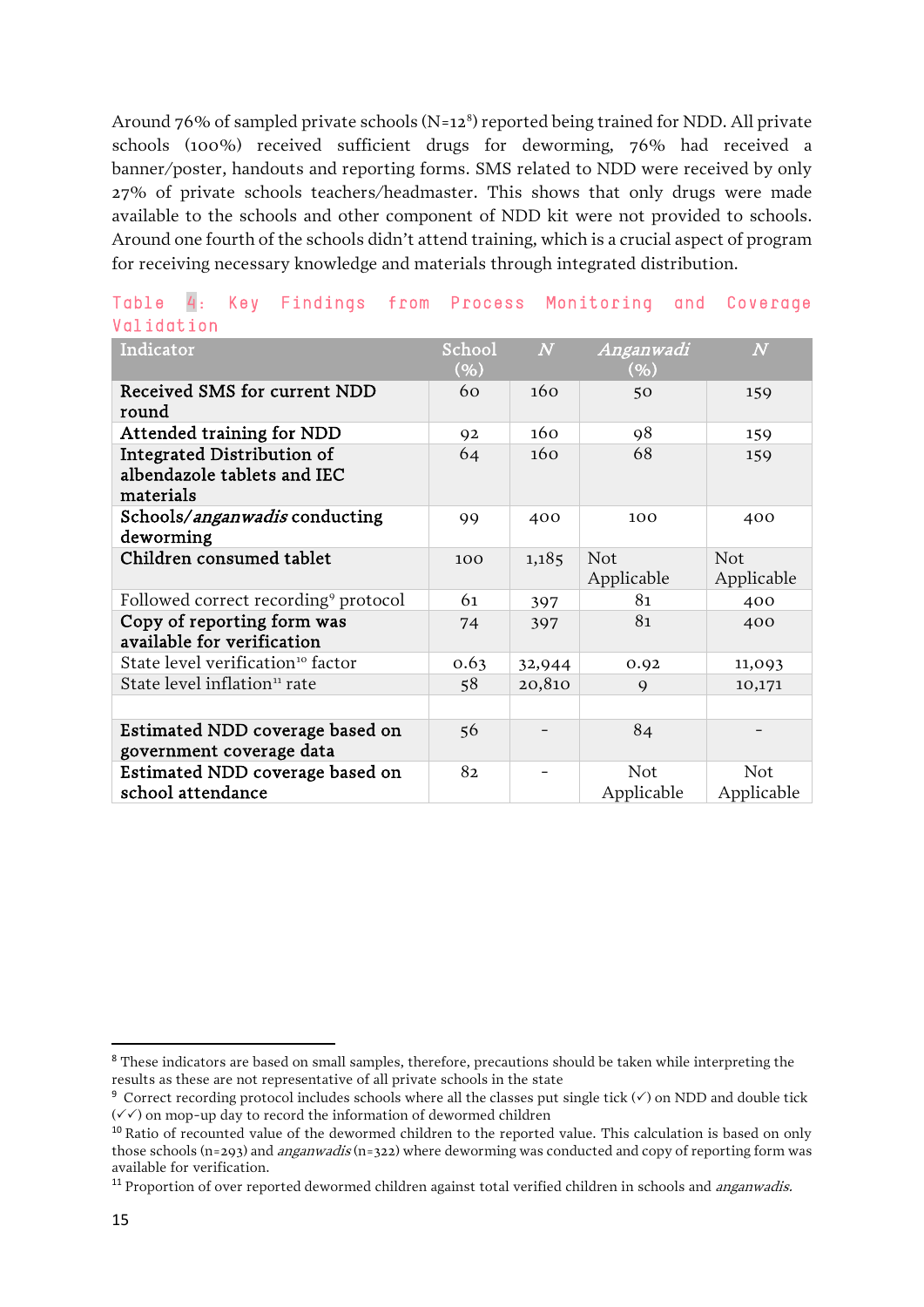Around  $76\%$  of sampled private schools (N=12<sup>[8](#page-13-1)</sup>) reported being trained for NDD. All private schools (100%) received sufficient drugs for deworming, 76% had received a banner/poster, handouts and reporting forms. SMS related to NDD were received by only 27% of private schools teachers/headmaster. This shows that only drugs were made available to the schools and other component of NDD kit were not provided to schools. Around one fourth of the schools didn't attend training, which is a crucial aspect of program for receiving necessary knowledge and materials through integrated distribution.

| Indicator                                                              | School<br>$(\% )$ | $\overline{N}$ | Anganwadi<br>(%)         | $\overline{N}$    |
|------------------------------------------------------------------------|-------------------|----------------|--------------------------|-------------------|
| Received SMS for current NDD<br>round                                  | 60                | 160            | 50                       | 159               |
| <b>Attended training for NDD</b>                                       | 92                | 160            | 98                       | 159               |
| Integrated Distribution of<br>albendazole tablets and IEC<br>materials | 64                | 160            | 68                       | 159               |
| Schools/anganwadis conducting<br>deworming                             | 99                | 400            | 100                      | 400               |
| Children consumed tablet                                               | 100               | 1,185          | <b>Not</b><br>Applicable | Not<br>Applicable |
| Followed correct recording <sup>9</sup> protocol                       | 61                | 397            | 81                       | 400               |
| Copy of reporting form was<br>available for verification               | 74                | 397            | 81                       | 400               |
| State level verification <sup>10</sup> factor                          | 0.63              | 32,944         | 0.92                     | 11,093            |
| State level inflation <sup>11</sup> rate                               | 58                | 20,810         | $\mathbf Q$              | 10,171            |
|                                                                        |                   |                |                          |                   |
| Estimated NDD coverage based on<br>government coverage data            | 56                |                | 84                       |                   |
| Estimated NDD coverage based on<br>school attendance                   | 82                |                | Not<br>Applicable        | Not<br>Applicable |

#### Table 4: Key Findings from Process Monitoring and Coverage Validation

<sup>&</sup>lt;sup>8</sup> These indicators are based on small samples, therefore, precautions should be taken while interpreting the results as these are not representative of all private schools in the state

<span id="page-14-0"></span><sup>&</sup>lt;sup>9</sup> Correct recording protocol includes schools where all the classes put single tick  $(\checkmark)$  on NDD and double tick  $(\sqrt{\sqrt{2}})$  on mop-up day to record the information of dewormed children

<span id="page-14-1"></span><sup>&</sup>lt;sup>10</sup> Ratio of recounted value of the dewormed children to the reported value. This calculation is based on only those schools (n=293) and *anganwadis* (n=322) where deworming was conducted and copy of reporting form was available for verification.

<span id="page-14-2"></span><sup>&</sup>lt;sup>11</sup> Proportion of over reported dewormed children against total verified children in schools and *anganwadis.*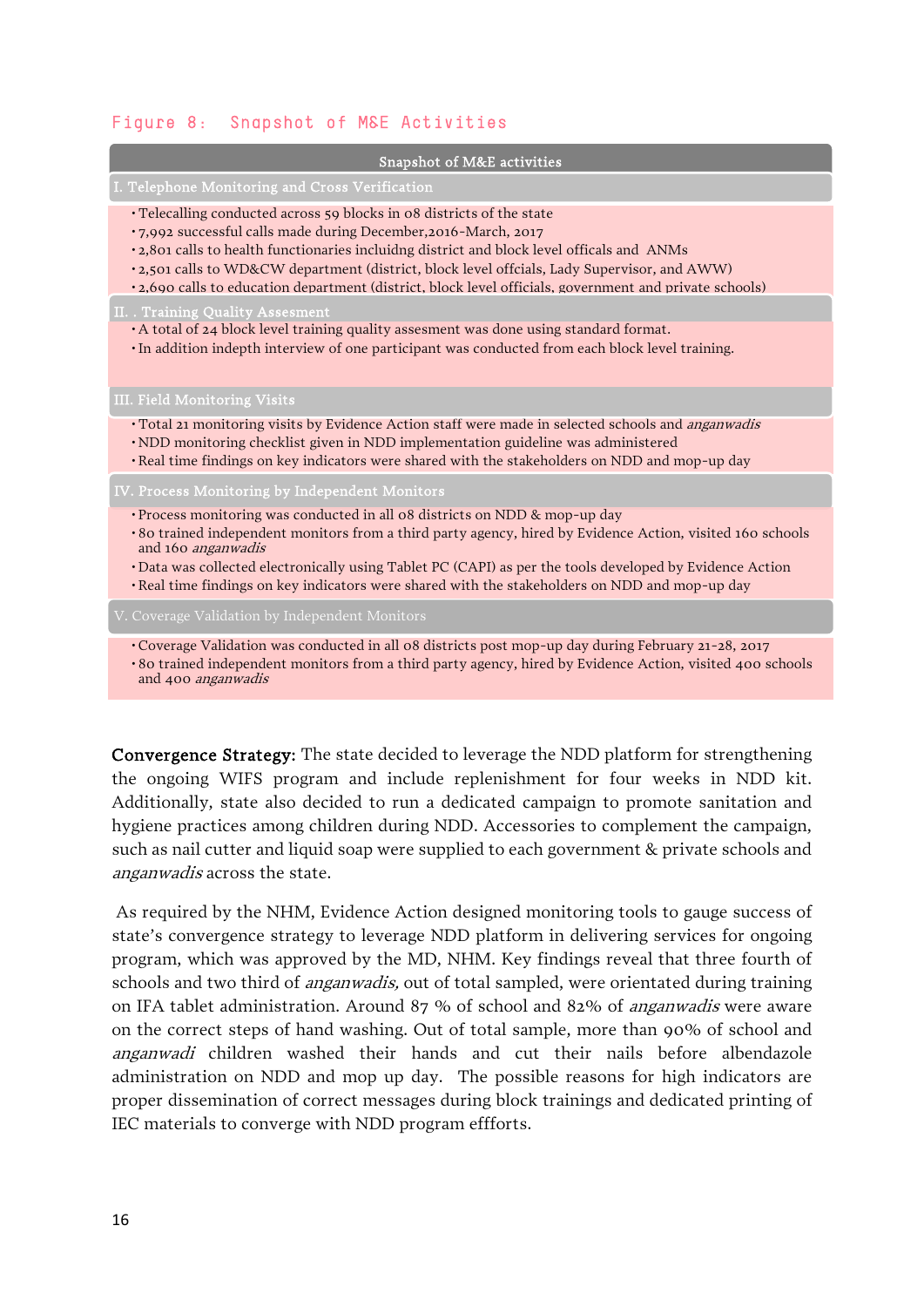#### Figure 8: Snapshot of M&E Activities

| Snapshot of M&E activities |
|----------------------------|
|----------------------------|

I. Telephone Monitoring and Cross Verification

- Telecalling conducted across 59 blocks in 08 districts of the state
- 7,992 successful calls made during December,2016-March, 2017
- 2,801 calls to health functionaries incluidng district and block level officals and ANMs
- 2,501 calls to WD&CW department (district, block level offcials, Lady Supervisor, and AWW)
- 2,690 calls to education department (district, block level officials, government and private schools)

II. . Training Quality Assesment

- A total of 24 block level training quality assesment was done using standard format.
- •In addition indepth interview of one participant was conducted from each block level training.

III. Field Monitoring Visits

- Total 21 monitoring visits by Evidence Action staff were made in selected schools and anganwadis
- •NDD monitoring checklist given in NDD implementation guideline was administered
- •Real time findings on key indicators were shared with the stakeholders on NDD and mop-up day

IV. Process Monitoring by Independent Monitors

- Process monitoring was conducted in all 08 districts on NDD & mop-up day
- 80 trained independent monitors from a third party agency, hired by Evidence Action, visited 160 schools and 160 anganwadis
- •Data was collected electronically using Tablet PC (CAPI) as per the tools developed by Evidence Action
- •Real time findings on key indicators were shared with the stakeholders on NDD and mop-up day
- 

• Coverage Validation was conducted in all 08 districts post mop-up day during February 21-28, 2017 • 80 trained independent monitors from a third party agency, hired by Evidence Action, visited 400 schools and 400 anganwadis

Convergence Strategy: The state decided to leverage the NDD platform for strengthening the ongoing WIFS program and include replenishment for four weeks in NDD kit. Additionally, state also decided to run a dedicated campaign to promote sanitation and hygiene practices among children during NDD. Accessories to complement the campaign, such as nail cutter and liquid soap were supplied to each government & private schools and anganwadis across the state.

As required by the NHM, Evidence Action designed monitoring tools to gauge success of state's convergence strategy to leverage NDD platform in delivering services for ongoing program, which was approved by the MD, NHM. Key findings reveal that three fourth of schools and two third of *anganwadis*, out of total sampled, were orientated during training on IFA tablet administration. Around 87 % of school and 82% of anganwadis were aware on the correct steps of hand washing. Out of total sample, more than 90% of school and anganwadi children washed their hands and cut their nails before albendazole administration on NDD and mop up day. The possible reasons for high indicators are proper dissemination of correct messages during block trainings and dedicated printing of IEC materials to converge with NDD program effforts.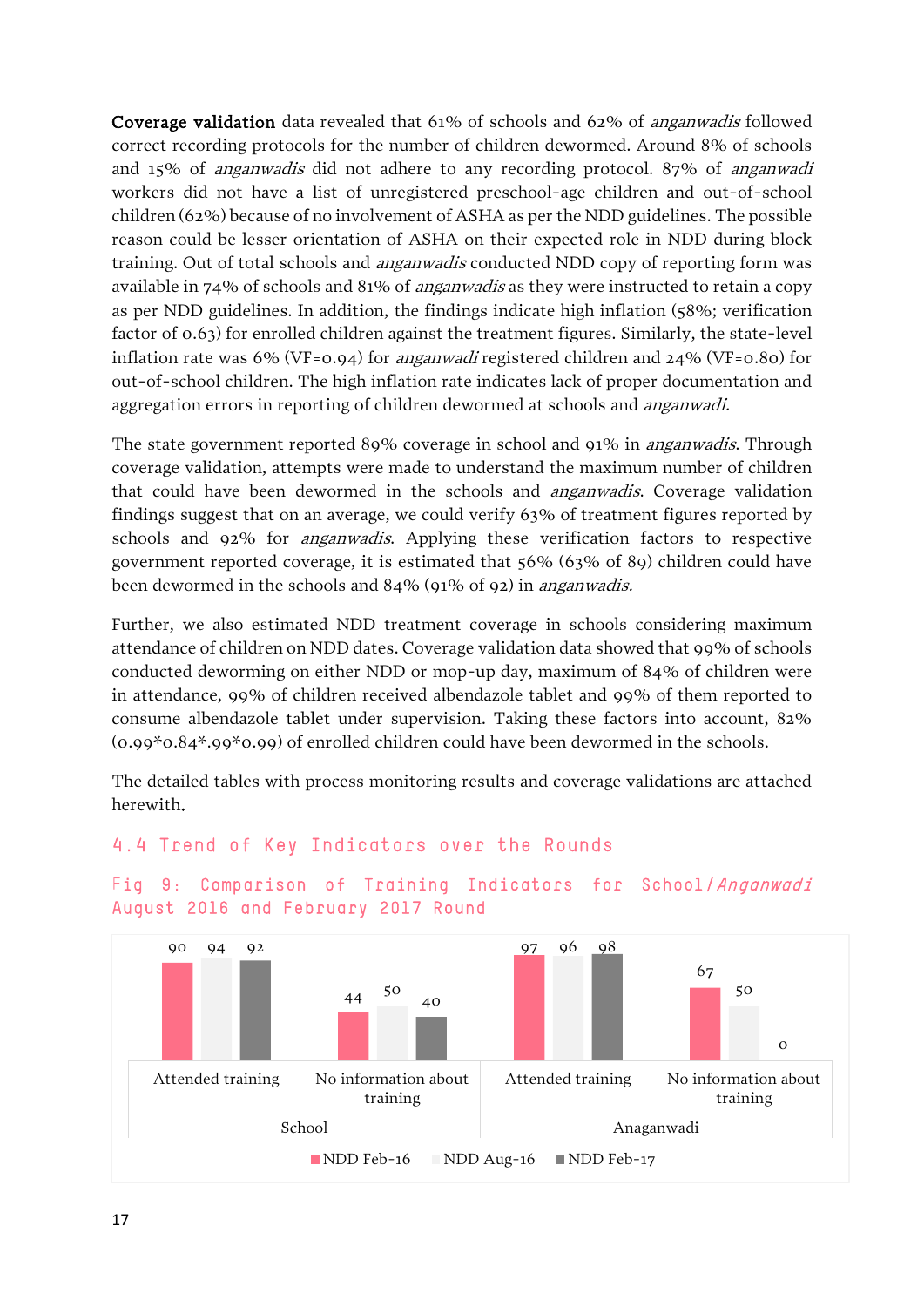Coverage validation data revealed that 61% of schools and 62% of anganwadis followed correct recording protocols for the number of children dewormed. Around 8% of schools and 15% of anganwadis did not adhere to any recording protocol. 87% of anganwadi workers did not have a list of unregistered preschool-age children and out-of-school children (62%) because of no involvement of ASHA as per the NDD guidelines. The possible reason could be lesser orientation of ASHA on their expected role in NDD during block training. Out of total schools and *anganwadis* conducted NDD copy of reporting form was available in 74% of schools and 81% of *anganwadis* as they were instructed to retain a copy as per NDD guidelines. In addition, the findings indicate high inflation (58%; verification factor of 0.63) for enrolled children against the treatment figures. Similarly, the state-level inflation rate was 6% (VF=0.94) for *anganwadi* registered children and  $24\%$  (VF=0.80) for out-of-school children. The high inflation rate indicates lack of proper documentation and aggregation errors in reporting of children dewormed at schools and anganwadi.

The state government reported 89% coverage in school and 91% in *anganwadis*. Through coverage validation, attempts were made to understand the maximum number of children that could have been dewormed in the schools and *anganwadis*. Coverage validation findings suggest that on an average, we could verify 63% of treatment figures reported by schools and 92% for anganwadis. Applying these verification factors to respective government reported coverage, it is estimated that 56% (63% of 89) children could have been dewormed in the schools and 84% (91% of 92) in anganwadis.

Further, we also estimated NDD treatment coverage in schools considering maximum attendance of children on NDD dates. Coverage validation data showed that 99% of schools conducted deworming on either NDD or mop-up day, maximum of 84% of children were in attendance, 99% of children received albendazole tablet and 99% of them reported to consume albendazole tablet under supervision. Taking these factors into account, 82% (0.99\*0.84\*.99\*0.99) of enrolled children could have been dewormed in the schools.

The detailed tables with process monitoring results and coverage validations are attached herewith.

#### 4.4 Trend of Key Indicators over the Rounds



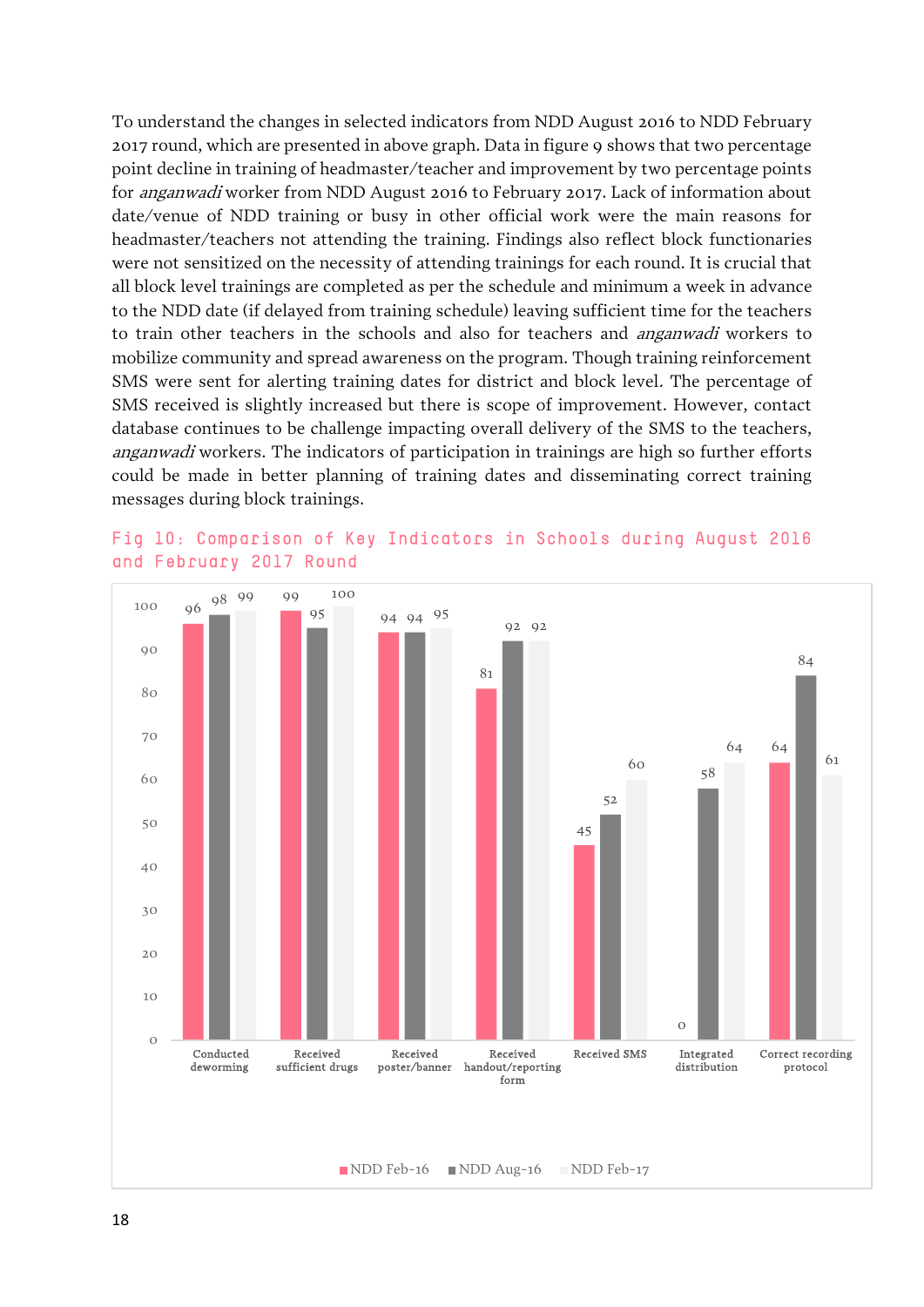To understand the changes in selected indicators from NDD August 2016 to NDD February 2017 round, which are presented in above graph. Data in figure 9 shows that two percentage point decline in training of headmaster/teacher and improvement by two percentage points for anganwadi worker from NDD August 2016 to February 2017. Lack of information about date/venue of NDD training or busy in other official work were the main reasons for headmaster/teachers not attending the training. Findings also reflect block functionaries were not sensitized on the necessity of attending trainings for each round. It is crucial that all block level trainings are completed as per the schedule and minimum a week in advance to the NDD date (if delayed from training schedule) leaving sufficient time for the teachers to train other teachers in the schools and also for teachers and anganwadi workers to mobilize community and spread awareness on the program. Though training reinforcement SMS were sent for alerting training dates for district and block level. The percentage of SMS received is slightly increased but there is scope of improvement. However, contact database continues to be challenge impacting overall delivery of the SMS to the teachers, anganwadi workers. The indicators of participation in trainings are high so further efforts could be made in better planning of training dates and disseminating correct training messages during block trainings.



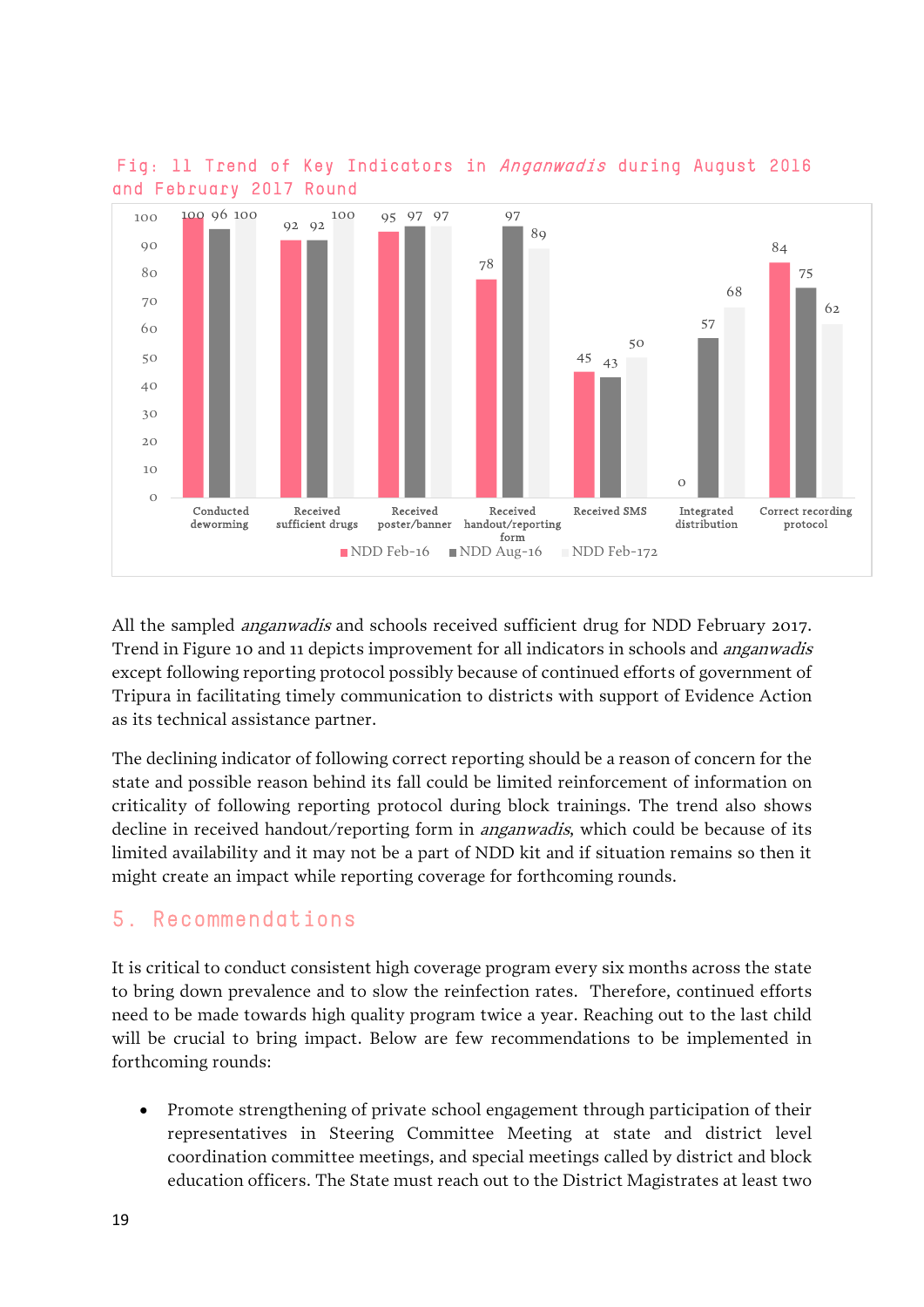

 Fig: 11 Trend of Key Indicators in Anganwadis during August 2016 and February 2017 Round

All the sampled *anganwadis* and schools received sufficient drug for NDD February 2017. Trend in Figure 10 and 11 depicts improvement for all indicators in schools and *anganwadis* except following reporting protocol possibly because of continued efforts of government of Tripura in facilitating timely communication to districts with support of Evidence Action as its technical assistance partner.

The declining indicator of following correct reporting should be a reason of concern for the state and possible reason behind its fall could be limited reinforcement of information on criticality of following reporting protocol during block trainings. The trend also shows decline in received handout/reporting form in *anganwadis*, which could be because of its limited availability and it may not be a part of NDD kit and if situation remains so then it might create an impact while reporting coverage for forthcoming rounds.

### 5. Recommendations

It is critical to conduct consistent high coverage program every six months across the state to bring down prevalence and to slow the reinfection rates. Therefore, continued efforts need to be made towards high quality program twice a year. Reaching out to the last child will be crucial to bring impact. Below are few recommendations to be implemented in forthcoming rounds:

• Promote strengthening of private school engagement through participation of their representatives in Steering Committee Meeting at state and district level coordination committee meetings, and special meetings called by district and block education officers. The State must reach out to the District Magistrates at least two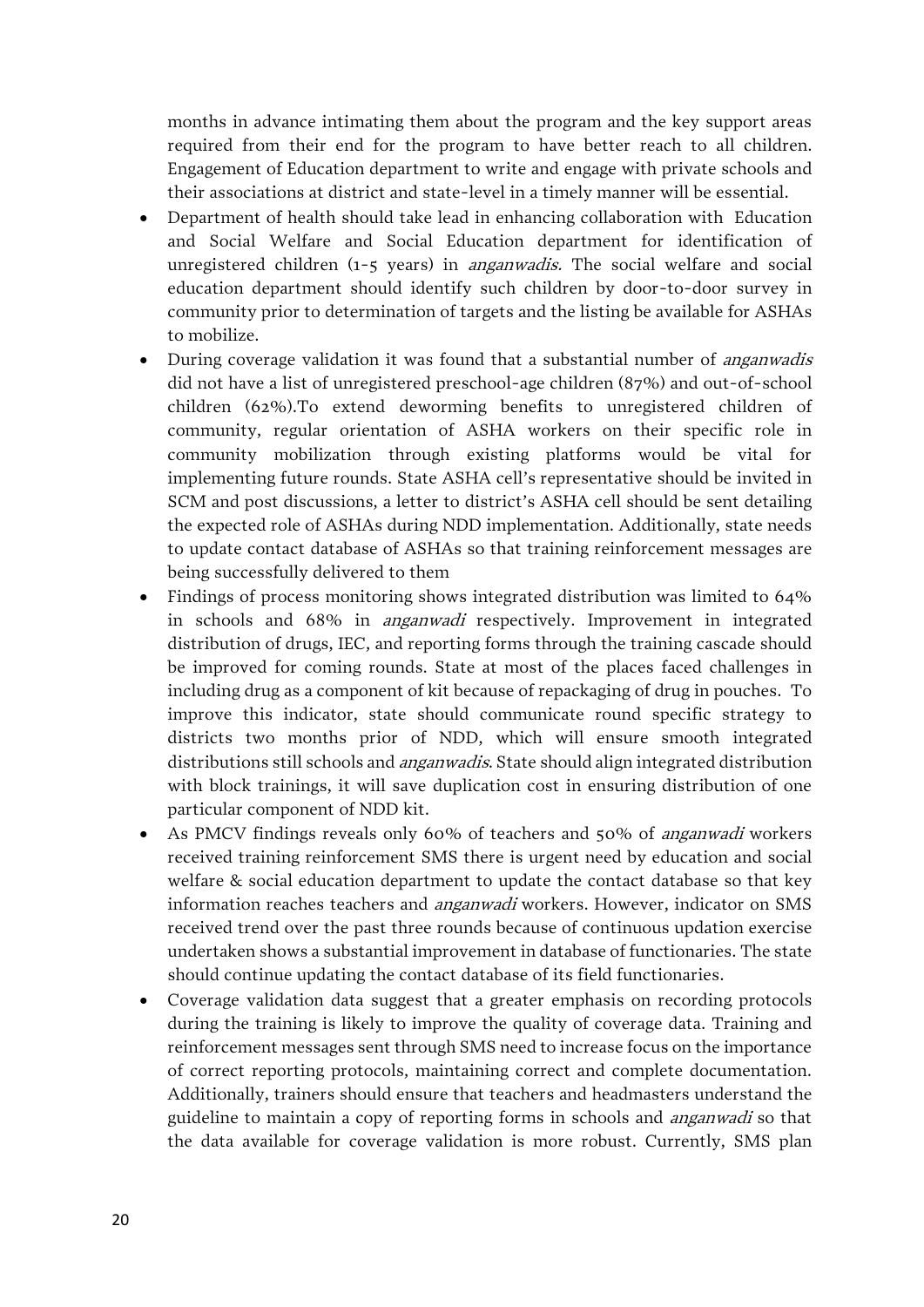months in advance intimating them about the program and the key support areas required from their end for the program to have better reach to all children. Engagement of Education department to write and engage with private schools and their associations at district and state-level in a timely manner will be essential.

- Department of health should take lead in enhancing collaboration with Education and Social Welfare and Social Education department for identification of unregistered children (1-5 years) in *anganwadis*. The social welfare and social education department should identify such children by door-to-door survey in community prior to determination of targets and the listing be available for ASHAs to mobilize.
- During coverage validation it was found that a substantial number of *anganwadis* did not have a list of unregistered preschool-age children (87%) and out-of-school children (62%).To extend deworming benefits to unregistered children of community, regular orientation of ASHA workers on their specific role in community mobilization through existing platforms would be vital for implementing future rounds. State ASHA cell's representative should be invited in SCM and post discussions, a letter to district's ASHA cell should be sent detailing the expected role of ASHAs during NDD implementation. Additionally, state needs to update contact database of ASHAs so that training reinforcement messages are being successfully delivered to them
- Findings of process monitoring shows integrated distribution was limited to 64% in schools and 68% in anganwadi respectively. Improvement in integrated distribution of drugs, IEC, and reporting forms through the training cascade should be improved for coming rounds. State at most of the places faced challenges in including drug as a component of kit because of repackaging of drug in pouches. To improve this indicator, state should communicate round specific strategy to districts two months prior of NDD, which will ensure smooth integrated distributions still schools and anganwadis. State should align integrated distribution with block trainings, it will save duplication cost in ensuring distribution of one particular component of NDD kit.
- As PMCV findings reveals only 60% of teachers and 50% of *anganwadi* workers received training reinforcement SMS there is urgent need by education and social welfare & social education department to update the contact database so that key information reaches teachers and *anganwadi* workers. However, indicator on SMS received trend over the past three rounds because of continuous updation exercise undertaken shows a substantial improvement in database of functionaries. The state should continue updating the contact database of its field functionaries.
- Coverage validation data suggest that a greater emphasis on recording protocols during the training is likely to improve the quality of coverage data. Training and reinforcement messages sent through SMS need to increase focus on the importance of correct reporting protocols, maintaining correct and complete documentation. Additionally, trainers should ensure that teachers and headmasters understand the guideline to maintain a copy of reporting forms in schools and anganwadi so that the data available for coverage validation is more robust. Currently, SMS plan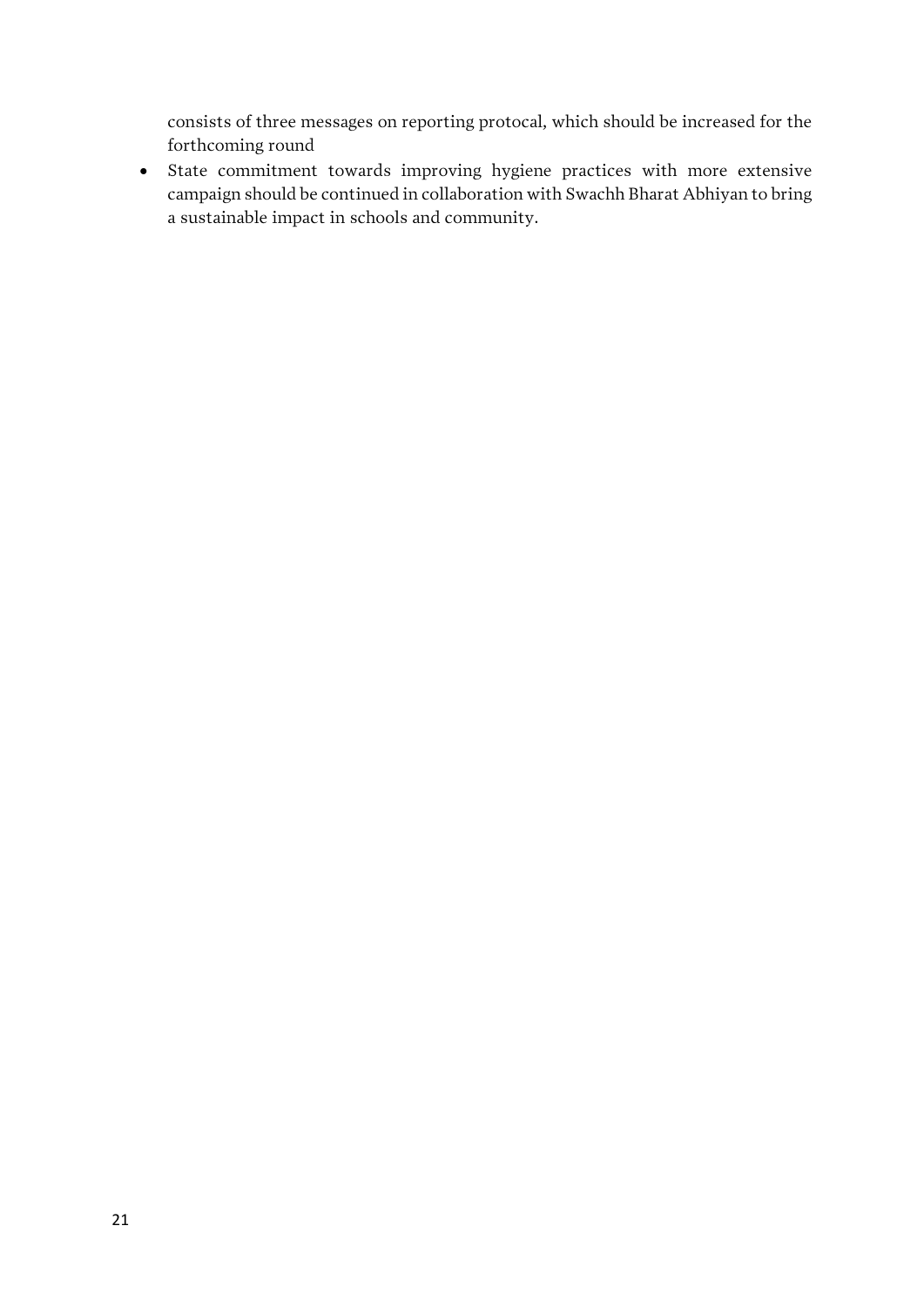consists of three messages on reporting protocal, which should be increased for the forthcoming round

• State commitment towards improving hygiene practices with more extensive campaign should be continued in collaboration with Swachh Bharat Abhiyan to bring a sustainable impact in schools and community.